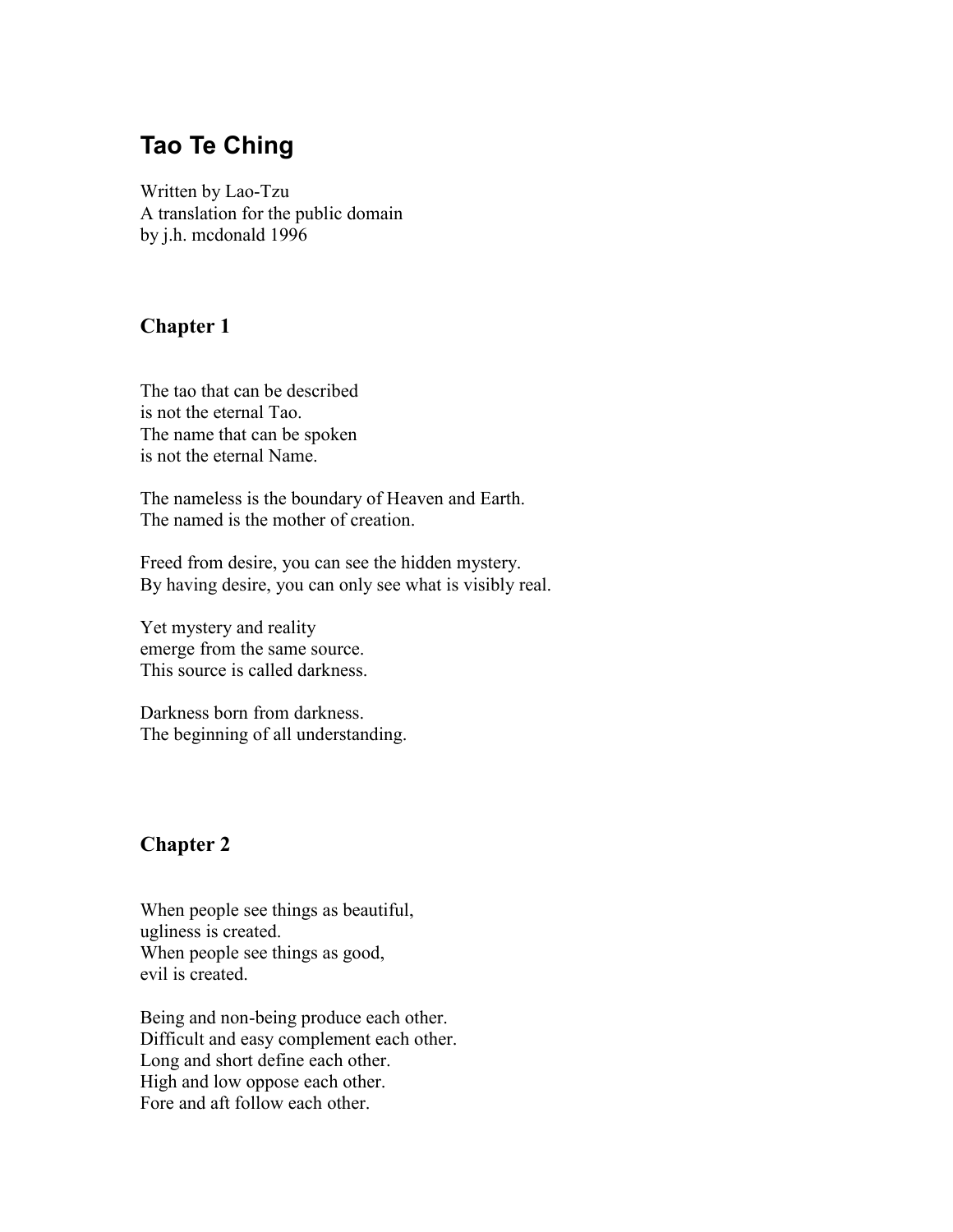# **Tao Te Ching**

Written by Lao-Tzu A translation for the public domain by j.h. mcdonald 1996

# **Chapter 1**

The tao that can be described is not the eternal Tao. The name that can be spoken is not the eternal Name.

The nameless is the boundary of Heaven and Earth. The named is the mother of creation.

Freed from desire, you can see the hidden mystery. By having desire, you can only see what is visibly real.

Yet mystery and reality emerge from the same source. This source is called darkness.

Darkness born from darkness. The beginning of all understanding.

# **Chapter 2**

When people see things as beautiful, ugliness is created. When people see things as good, evil is created.

Being and non-being produce each other. Difficult and easy complement each other. Long and short define each other. High and low oppose each other. Fore and aft follow each other.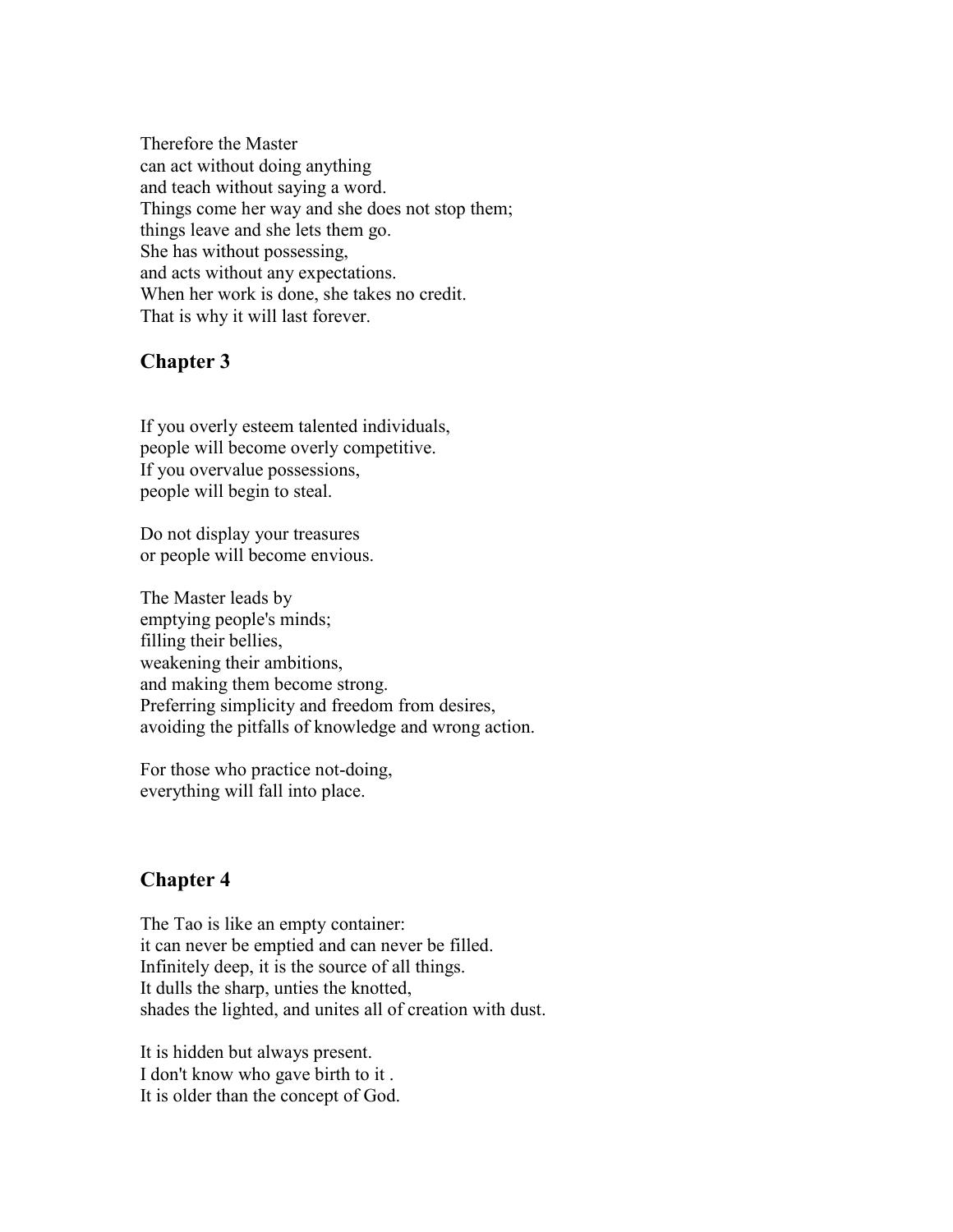Therefore the Master can act without doing anything and teach without saying a word. Things come her way and she does not stop them; things leave and she lets them go. She has without possessing, and acts without any expectations. When her work is done, she takes no credit. That is why it will last forever.

# **Chapter 3**

If you overly esteem talented individuals, people will become overly competitive. If you overvalue possessions, people will begin to steal.

Do not display your treasures or people will become envious.

The Master leads by emptying people's minds; filling their bellies, weakening their ambitions, and making them become strong. Preferring simplicity and freedom from desires, avoiding the pitfalls of knowledge and wrong action.

For those who practice not-doing, everything will fall into place.

# **Chapter 4**

The Tao is like an empty container: it can never be emptied and can never be filled. Infinitely deep, it is the source of all things. It dulls the sharp, unties the knotted, shades the lighted, and unites all of creation with dust.

It is hidden but always present. I don't know who gave birth to it . It is older than the concept of God.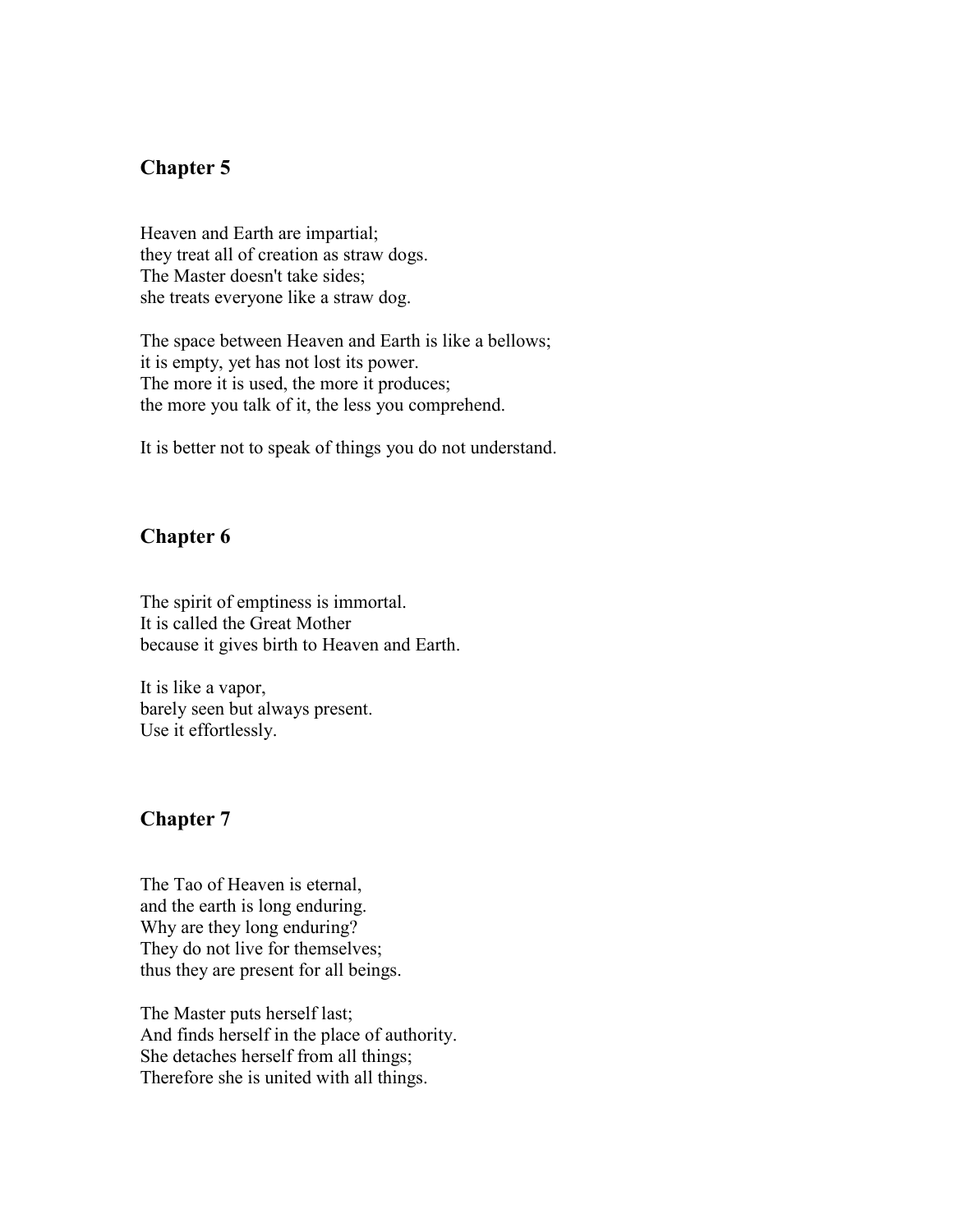# **Chapter 5**

Heaven and Earth are impartial; they treat all of creation as straw dogs. The Master doesn't take sides; she treats everyone like a straw dog.

The space between Heaven and Earth is like a bellows; it is empty, yet has not lost its power. The more it is used, the more it produces; the more you talk of it, the less you comprehend.

It is better not to speak of things you do not understand.

#### **Chapter 6**

The spirit of emptiness is immortal. It is called the Great Mother because it gives birth to Heaven and Earth.

It is like a vapor, barely seen but always present. Use it effortlessly.

#### **Chapter 7**

The Tao of Heaven is eternal, and the earth is long enduring. Why are they long enduring? They do not live for themselves; thus they are present for all beings.

The Master puts herself last; And finds herself in the place of authority. She detaches herself from all things; Therefore she is united with all things.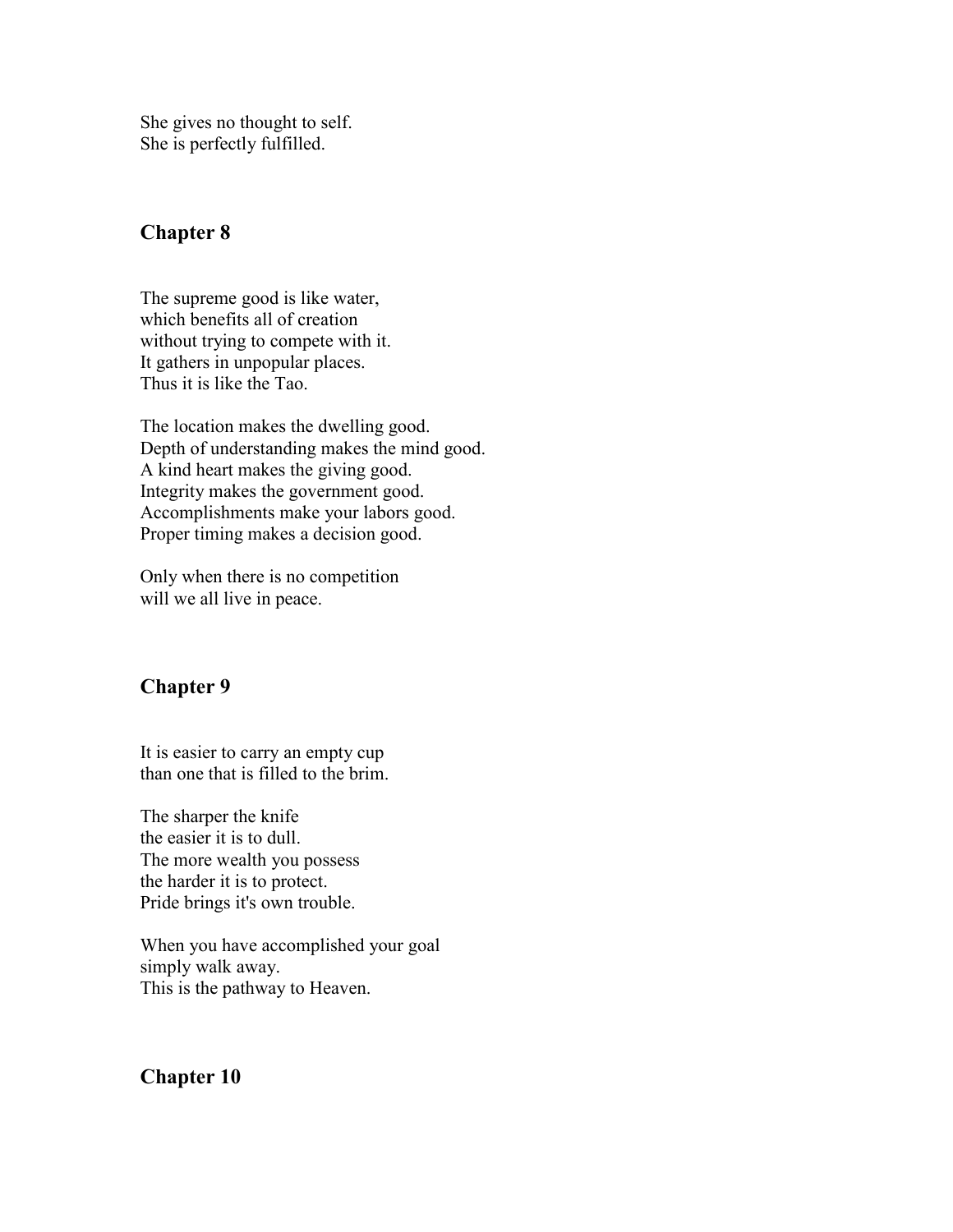She gives no thought to self. She is perfectly fulfilled.

# **Chapter 8**

The supreme good is like water, which benefits all of creation without trying to compete with it. It gathers in unpopular places. Thus it is like the Tao.

The location makes the dwelling good. Depth of understanding makes the mind good. A kind heart makes the giving good. Integrity makes the government good. Accomplishments make your labors good. Proper timing makes a decision good.

Only when there is no competition will we all live in peace.

# **Chapter 9**

It is easier to carry an empty cup than one that is filled to the brim.

The sharper the knife the easier it is to dull. The more wealth you possess the harder it is to protect. Pride brings it's own trouble.

When you have accomplished your goal simply walk away. This is the pathway to Heaven.

# **Chapter 10**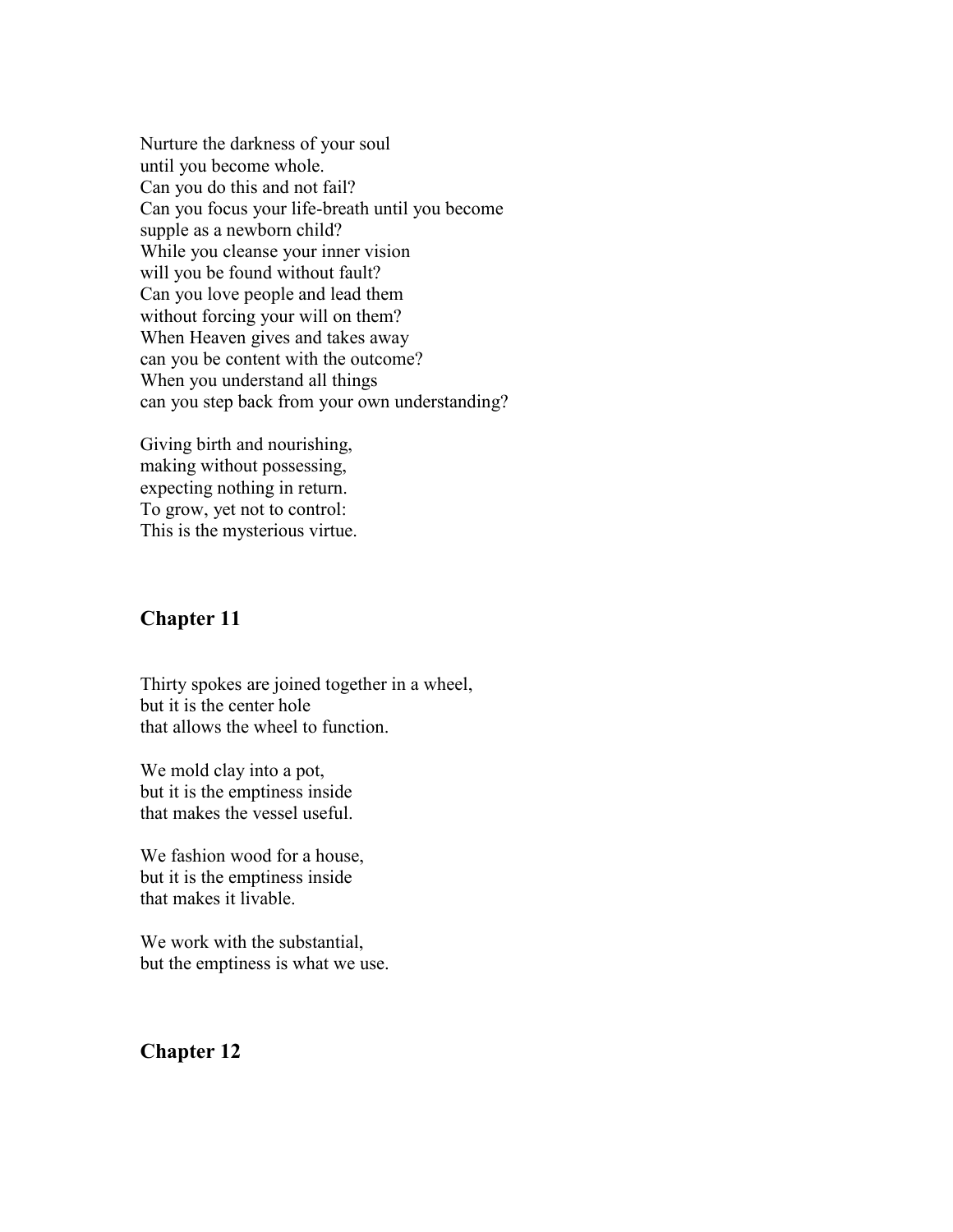Nurture the darkness of your soul until you become whole. Can you do this and not fail? Can you focus your life-breath until you become supple as a newborn child? While you cleanse your inner vision will you be found without fault? Can you love people and lead them without forcing your will on them? When Heaven gives and takes away can you be content with the outcome? When you understand all things can you step back from your own understanding?

Giving birth and nourishing, making without possessing, expecting nothing in return. To grow, yet not to control: This is the mysterious virtue.

#### **Chapter 11**

Thirty spokes are joined together in a wheel, but it is the center hole that allows the wheel to function.

We mold clay into a pot, but it is the emptiness inside that makes the vessel useful.

We fashion wood for a house, but it is the emptiness inside that makes it livable.

We work with the substantial, but the emptiness is what we use.

#### **Chapter 12**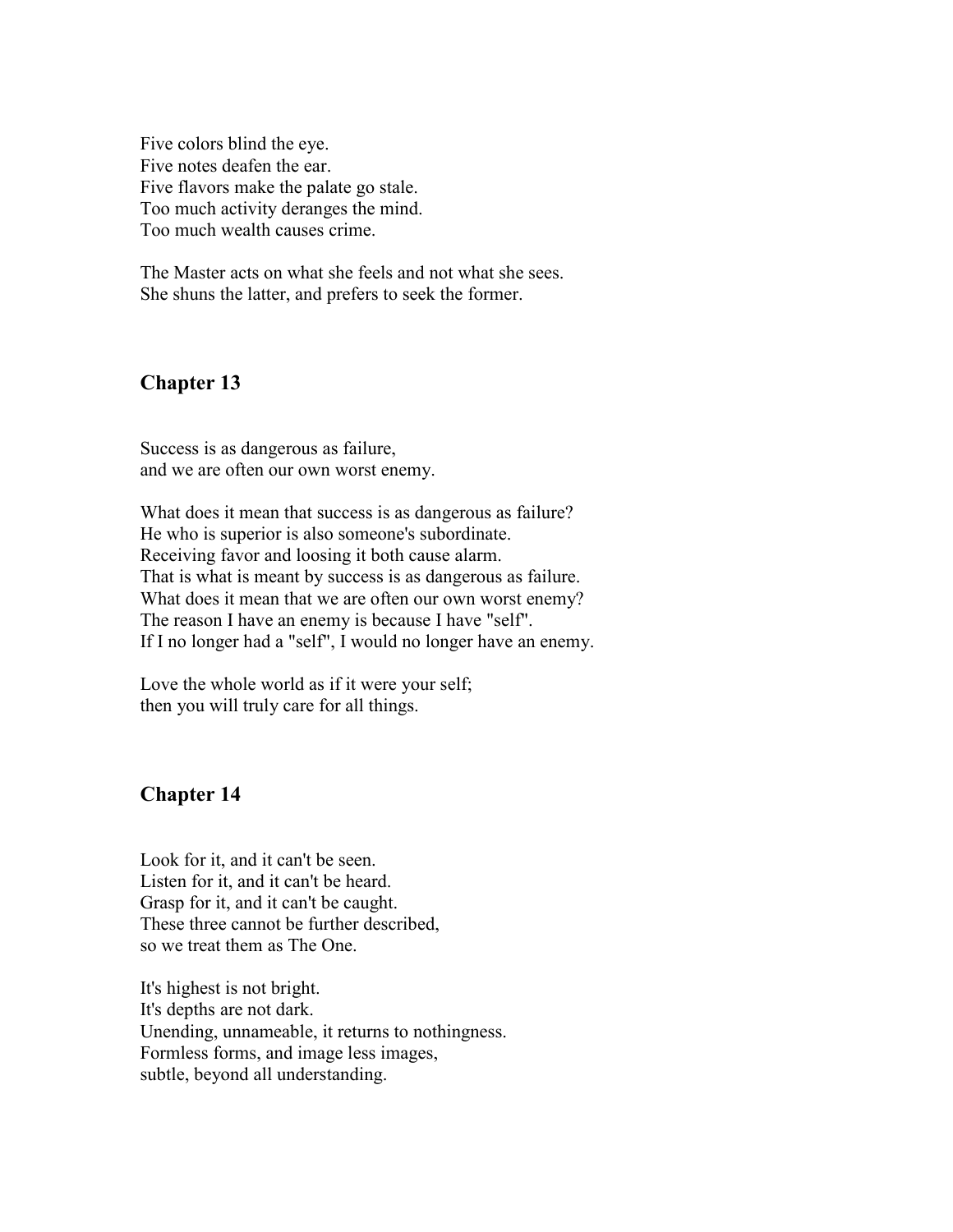Five colors blind the eye. Five notes deafen the ear. Five flavors make the palate go stale. Too much activity deranges the mind. Too much wealth causes crime.

The Master acts on what she feels and not what she sees. She shuns the latter, and prefers to seek the former.

#### **Chapter 13**

Success is as dangerous as failure, and we are often our own worst enemy.

What does it mean that success is as dangerous as failure? He who is superior is also someone's subordinate. Receiving favor and loosing it both cause alarm. That is what is meant by success is as dangerous as failure. What does it mean that we are often our own worst enemy? The reason I have an enemy is because I have "self". If I no longer had a "self", I would no longer have an enemy.

Love the whole world as if it were your self; then you will truly care for all things.

#### **Chapter 14**

Look for it, and it can't be seen. Listen for it, and it can't be heard. Grasp for it, and it can't be caught. These three cannot be further described, so we treat them as The One.

It's highest is not bright. It's depths are not dark. Unending, unnameable, it returns to nothingness. Formless forms, and image less images, subtle, beyond all understanding.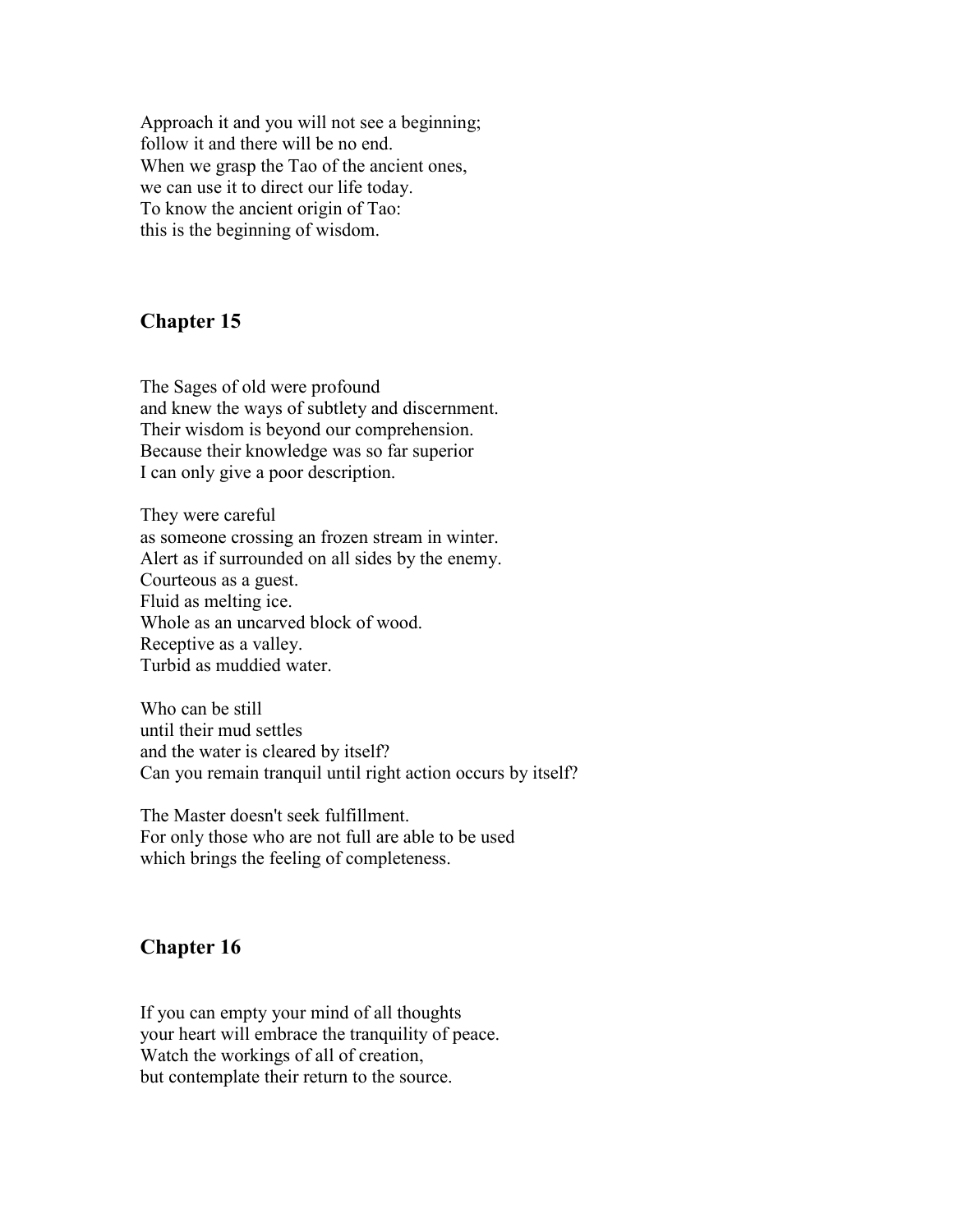Approach it and you will not see a beginning; follow it and there will be no end. When we grasp the Tao of the ancient ones, we can use it to direct our life today. To know the ancient origin of Tao: this is the beginning of wisdom.

#### **Chapter 15**

The Sages of old were profound and knew the ways of subtlety and discernment. Their wisdom is beyond our comprehension. Because their knowledge was so far superior I can only give a poor description.

They were careful as someone crossing an frozen stream in winter. Alert as if surrounded on all sides by the enemy. Courteous as a guest. Fluid as melting ice. Whole as an uncarved block of wood. Receptive as a valley. Turbid as muddied water.

Who can be still until their mud settles and the water is cleared by itself? Can you remain tranquil until right action occurs by itself?

The Master doesn't seek fulfillment. For only those who are not full are able to be used which brings the feeling of completeness.

# **Chapter 16**

If you can empty your mind of all thoughts your heart will embrace the tranquility of peace. Watch the workings of all of creation, but contemplate their return to the source.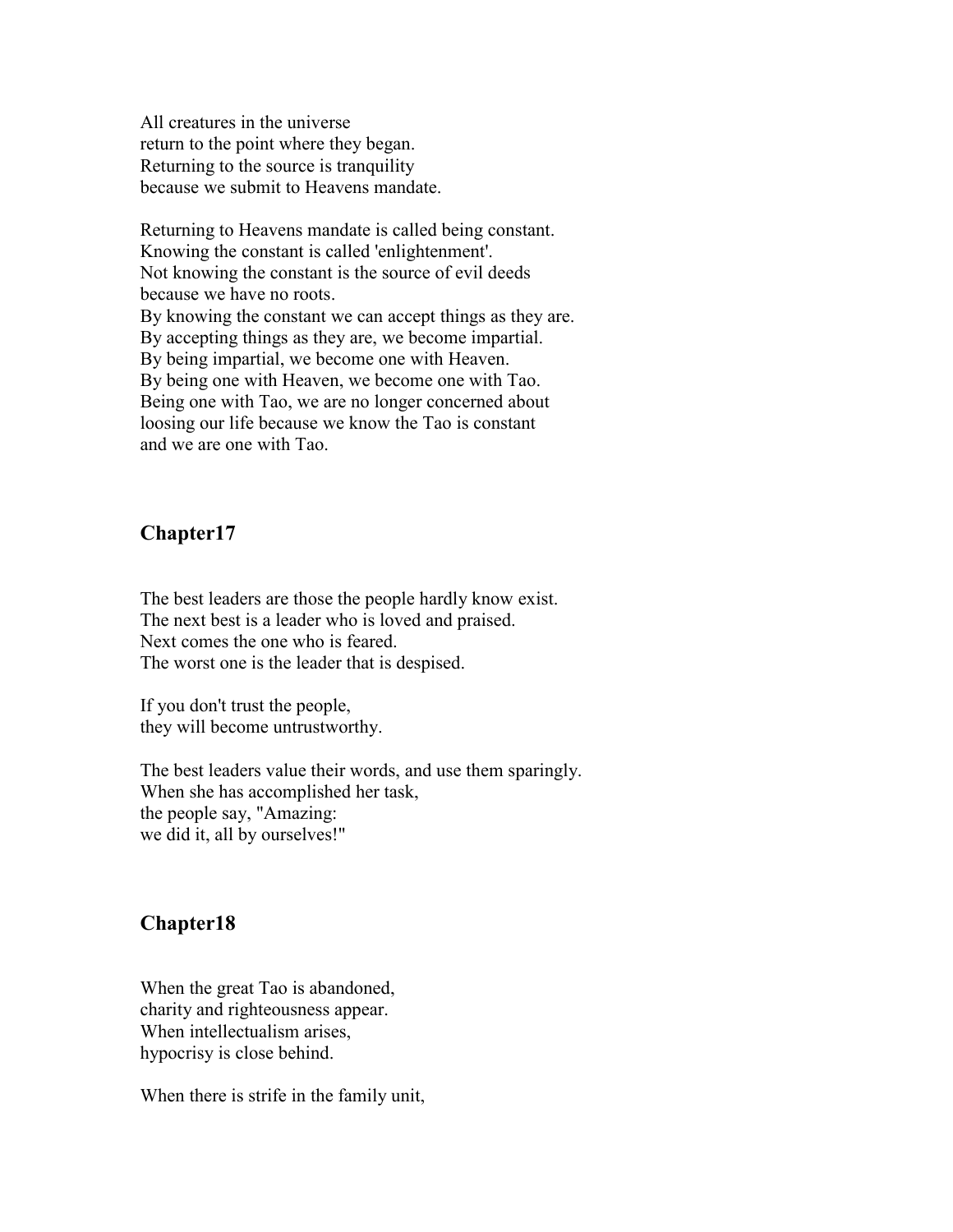All creatures in the universe return to the point where they began. Returning to the source is tranquility because we submit to Heavens mandate.

Returning to Heavens mandate is called being constant. Knowing the constant is called 'enlightenment'. Not knowing the constant is the source of evil deeds because we have no roots. By knowing the constant we can accept things as they are. By accepting things as they are, we become impartial. By being impartial, we become one with Heaven. By being one with Heaven, we become one with Tao. Being one with Tao, we are no longer concerned about loosing our life because we know the Tao is constant and we are one with Tao.

#### **Chapter17**

The best leaders are those the people hardly know exist. The next best is a leader who is loved and praised. Next comes the one who is feared. The worst one is the leader that is despised.

If you don't trust the people, they will become untrustworthy.

The best leaders value their words, and use them sparingly. When she has accomplished her task, the people say, "Amazing: we did it, all by ourselves!"

#### **Chapter18**

When the great Tao is abandoned, charity and righteousness appear. When intellectualism arises, hypocrisy is close behind.

When there is strife in the family unit,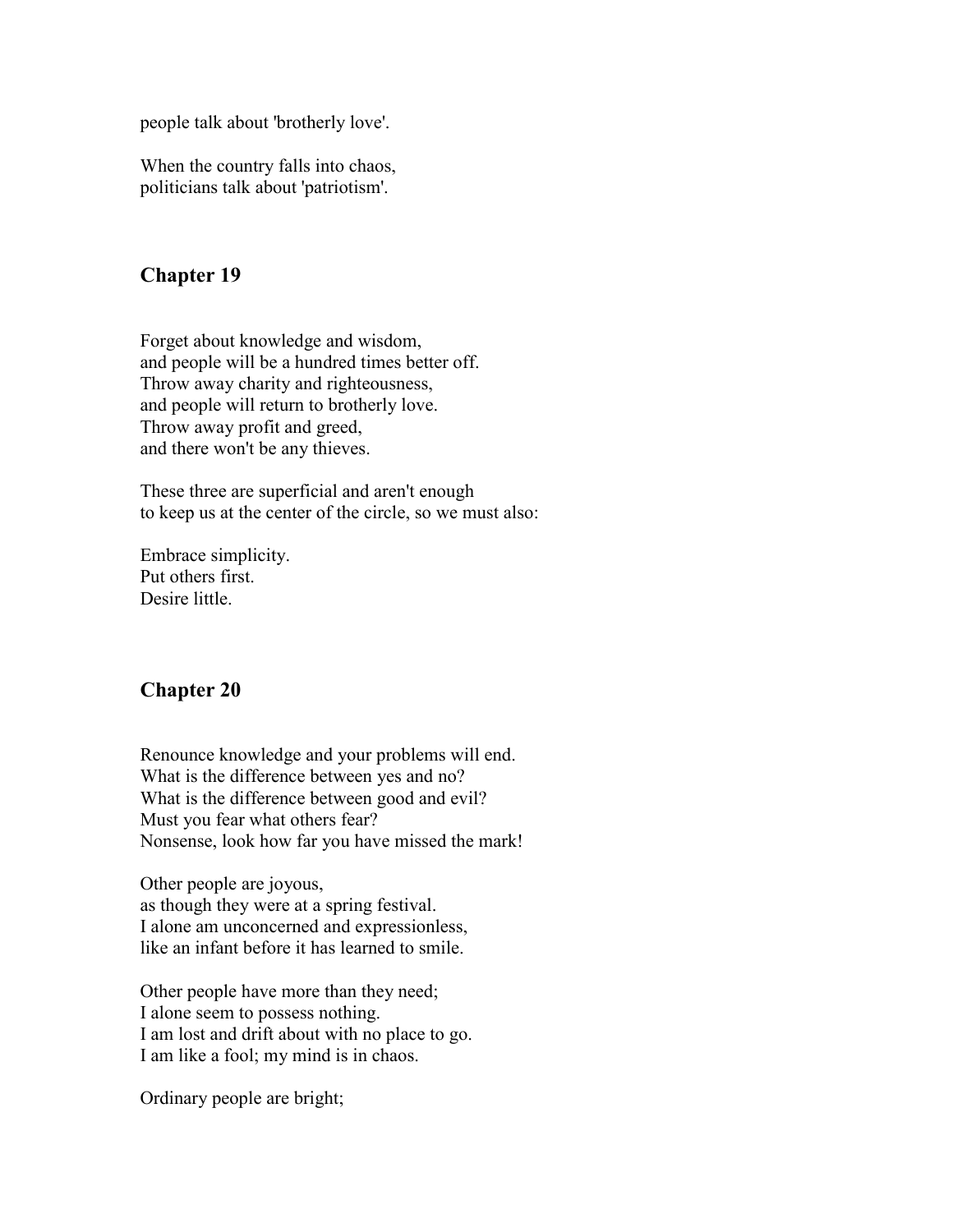people talk about 'brotherly love'.

When the country falls into chaos, politicians talk about 'patriotism'.

# **Chapter 19**

Forget about knowledge and wisdom, and people will be a hundred times better off. Throw away charity and righteousness, and people will return to brotherly love. Throw away profit and greed, and there won't be any thieves.

These three are superficial and aren't enough to keep us at the center of the circle, so we must also:

Embrace simplicity. Put others first. Desire little.

#### **Chapter 20**

Renounce knowledge and your problems will end. What is the difference between yes and no? What is the difference between good and evil? Must you fear what others fear? Nonsense, look how far you have missed the mark!

Other people are joyous, as though they were at a spring festival. I alone am unconcerned and expressionless, like an infant before it has learned to smile.

Other people have more than they need; I alone seem to possess nothing. I am lost and drift about with no place to go. I am like a fool; my mind is in chaos.

Ordinary people are bright;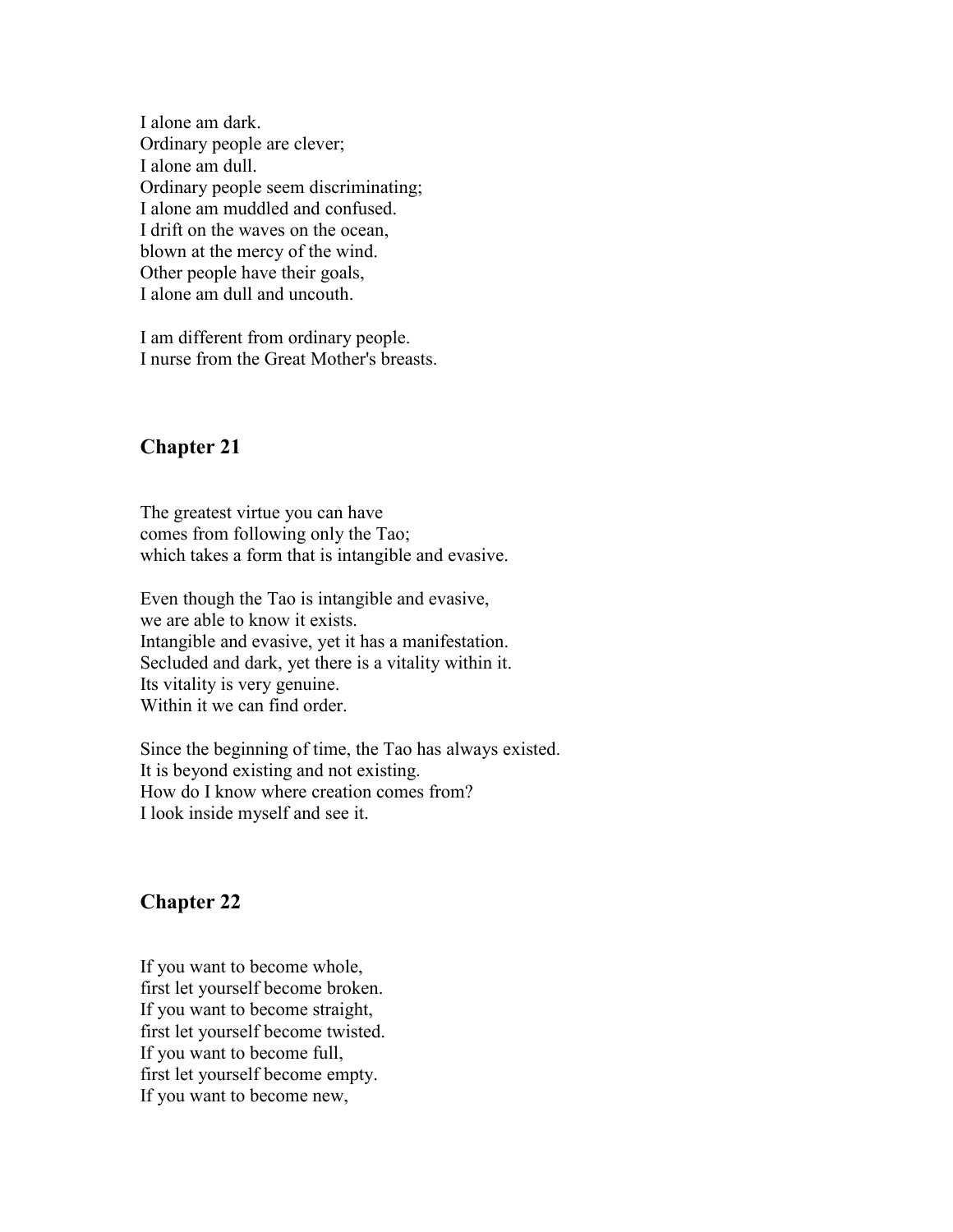I alone am dark. Ordinary people are clever; I alone am dull. Ordinary people seem discriminating; I alone am muddled and confused. I drift on the waves on the ocean, blown at the mercy of the wind. Other people have their goals, I alone am dull and uncouth.

I am different from ordinary people. I nurse from the Great Mother's breasts.

# **Chapter 21**

The greatest virtue you can have comes from following only the Tao; which takes a form that is intangible and evasive.

Even though the Tao is intangible and evasive, we are able to know it exists. Intangible and evasive, yet it has a manifestation. Secluded and dark, yet there is a vitality within it. Its vitality is very genuine. Within it we can find order.

Since the beginning of time, the Tao has always existed. It is beyond existing and not existing. How do I know where creation comes from? I look inside myself and see it.

# **Chapter 22**

If you want to become whole, first let yourself become broken. If you want to become straight, first let yourself become twisted. If you want to become full, first let yourself become empty. If you want to become new,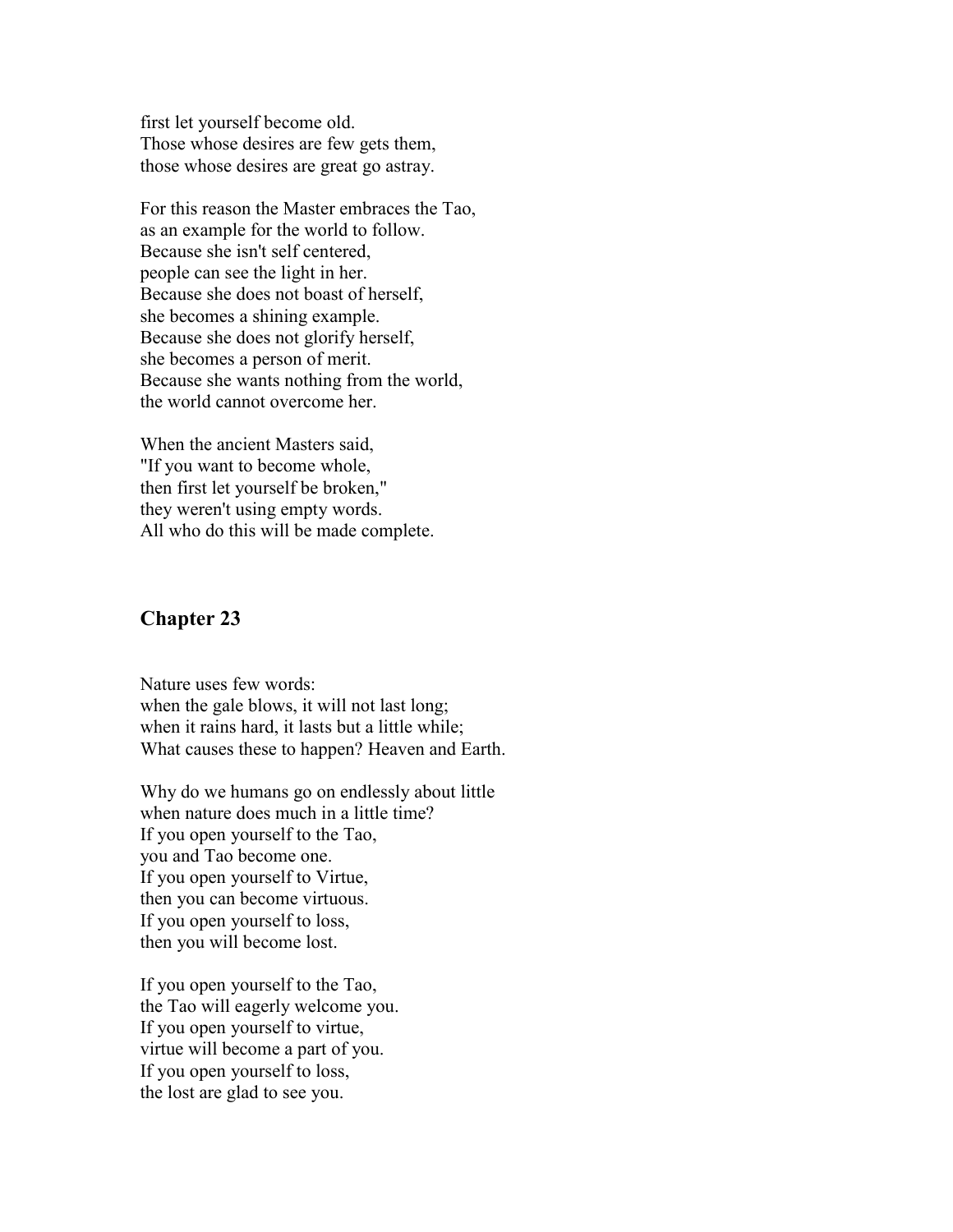first let yourself become old. Those whose desires are few gets them, those whose desires are great go astray.

For this reason the Master embraces the Tao, as an example for the world to follow. Because she isn't self centered, people can see the light in her. Because she does not boast of herself, she becomes a shining example. Because she does not glorify herself, she becomes a person of merit. Because she wants nothing from the world, the world cannot overcome her.

When the ancient Masters said, "If you want to become whole, then first let yourself be broken," they weren't using empty words. All who do this will be made complete.

#### **Chapter 23**

Nature uses few words: when the gale blows, it will not last long; when it rains hard, it lasts but a little while; What causes these to happen? Heaven and Earth.

Why do we humans go on endlessly about little when nature does much in a little time? If you open yourself to the Tao, you and Tao become one. If you open yourself to Virtue, then you can become virtuous. If you open yourself to loss, then you will become lost.

If you open yourself to the Tao, the Tao will eagerly welcome you. If you open yourself to virtue, virtue will become a part of you. If you open yourself to loss, the lost are glad to see you.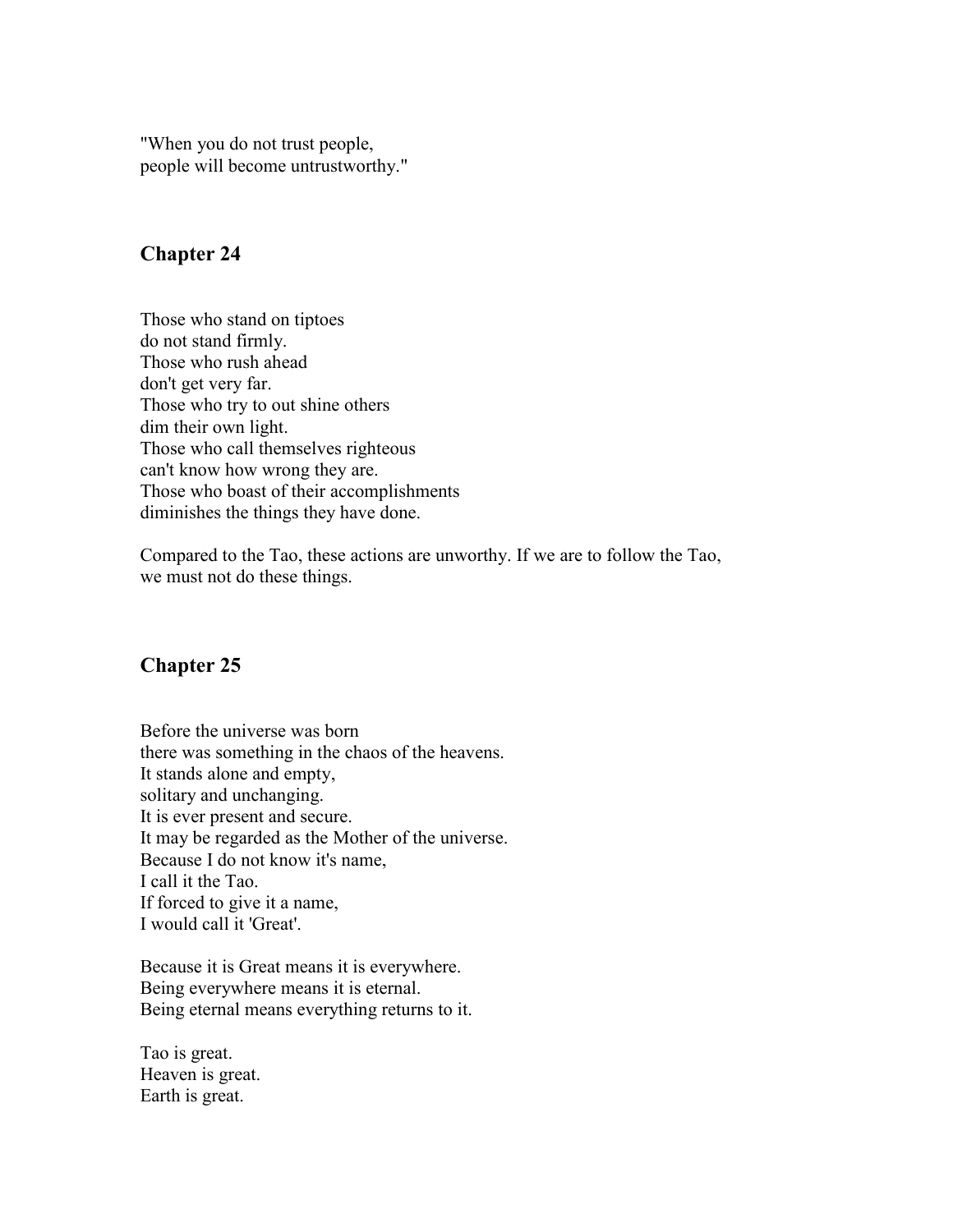"When you do not trust people, people will become untrustworthy."

#### **Chapter 24**

Those who stand on tiptoes do not stand firmly. Those who rush ahead don't get very far. Those who try to out shine others dim their own light. Those who call themselves righteous can't know how wrong they are. Those who boast of their accomplishments diminishes the things they have done.

Compared to the Tao, these actions are unworthy. If we are to follow the Tao, we must not do these things.

# **Chapter 25**

Before the universe was born there was something in the chaos of the heavens. It stands alone and empty, solitary and unchanging. It is ever present and secure. It may be regarded as the Mother of the universe. Because I do not know it's name, I call it the Tao. If forced to give it a name, I would call it 'Great'.

Because it is Great means it is everywhere. Being everywhere means it is eternal. Being eternal means everything returns to it.

Tao is great. Heaven is great. Earth is great.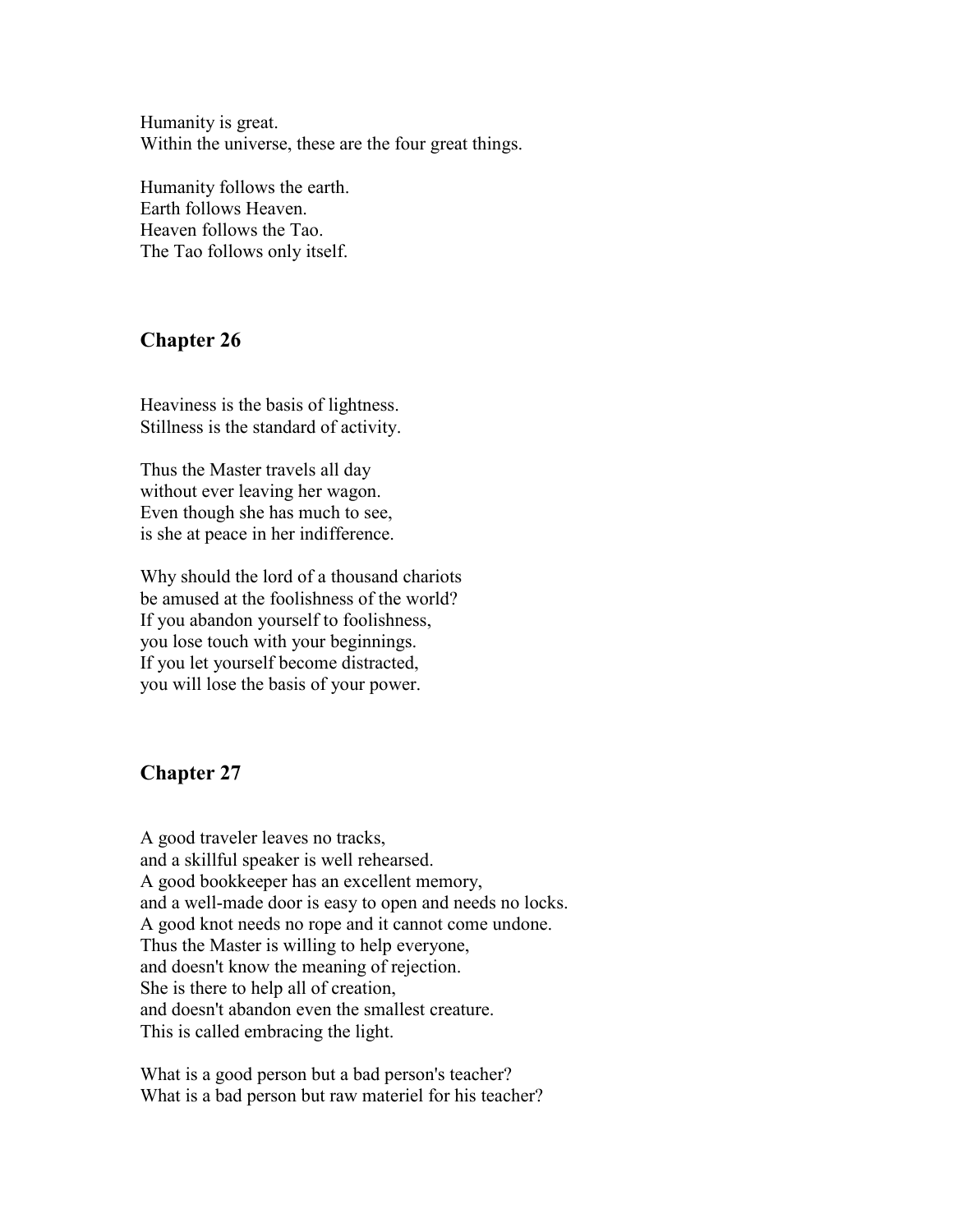Humanity is great. Within the universe, these are the four great things.

Humanity follows the earth. Earth follows Heaven. Heaven follows the Tao. The Tao follows only itself.

# **Chapter 26**

Heaviness is the basis of lightness. Stillness is the standard of activity.

Thus the Master travels all day without ever leaving her wagon. Even though she has much to see, is she at peace in her indifference.

Why should the lord of a thousand chariots be amused at the foolishness of the world? If you abandon yourself to foolishness, you lose touch with your beginnings. If you let yourself become distracted, you will lose the basis of your power.

# **Chapter 27**

A good traveler leaves no tracks, and a skillful speaker is well rehearsed. A good bookkeeper has an excellent memory, and a well-made door is easy to open and needs no locks. A good knot needs no rope and it cannot come undone. Thus the Master is willing to help everyone, and doesn't know the meaning of rejection. She is there to help all of creation, and doesn't abandon even the smallest creature. This is called embracing the light.

What is a good person but a bad person's teacher? What is a bad person but raw materiel for his teacher?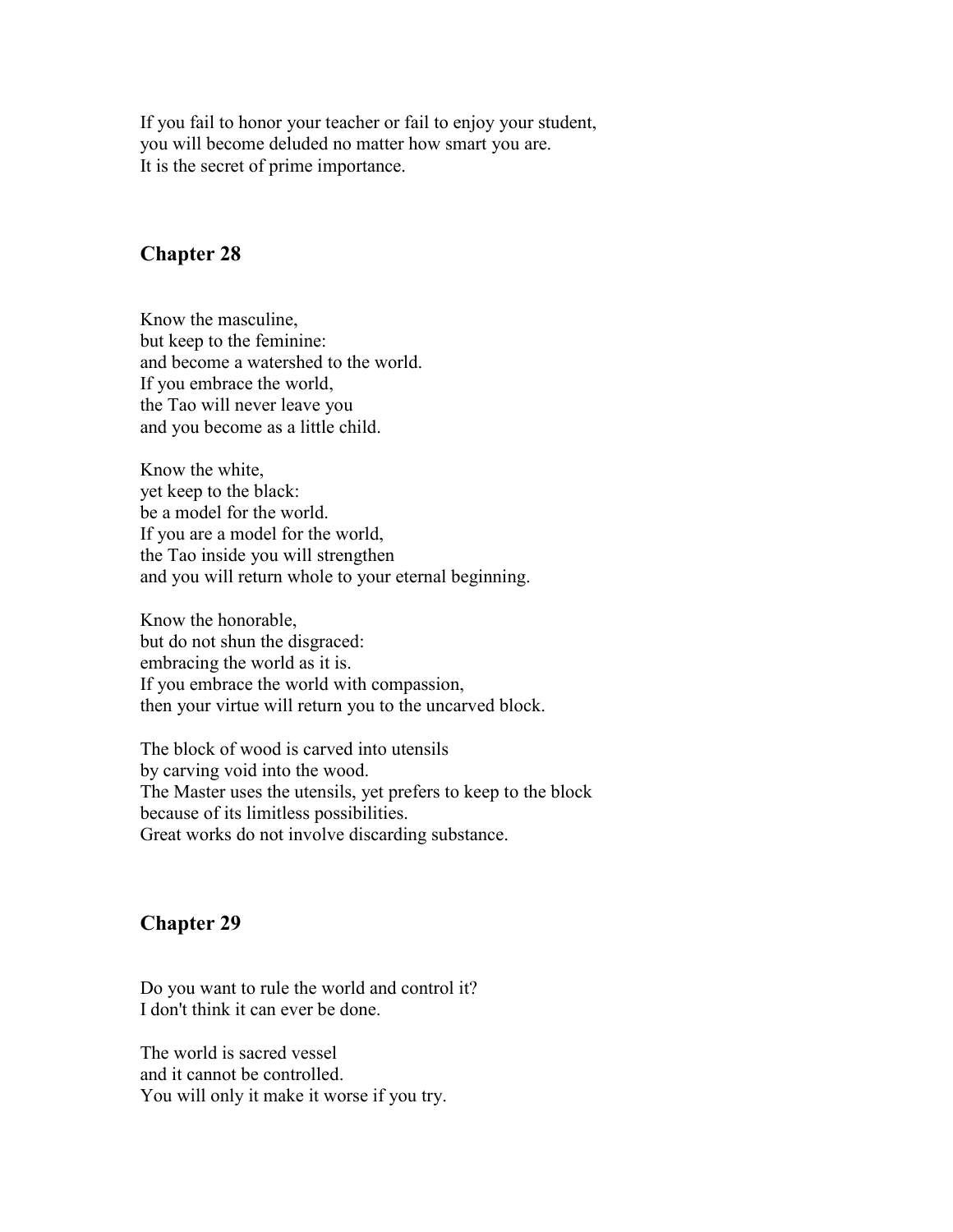If you fail to honor your teacher or fail to enjoy your student, you will become deluded no matter how smart you are. It is the secret of prime importance.

#### **Chapter 28**

Know the masculine, but keep to the feminine: and become a watershed to the world. If you embrace the world, the Tao will never leave you and you become as a little child.

Know the white, yet keep to the black: be a model for the world. If you are a model for the world, the Tao inside you will strengthen and you will return whole to your eternal beginning.

Know the honorable, but do not shun the disgraced: embracing the world as it is. If you embrace the world with compassion, then your virtue will return you to the uncarved block.

The block of wood is carved into utensils by carving void into the wood. The Master uses the utensils, yet prefers to keep to the block because of its limitless possibilities. Great works do not involve discarding substance.

#### **Chapter 29**

Do you want to rule the world and control it? I don't think it can ever be done.

The world is sacred vessel and it cannot be controlled. You will only it make it worse if you try.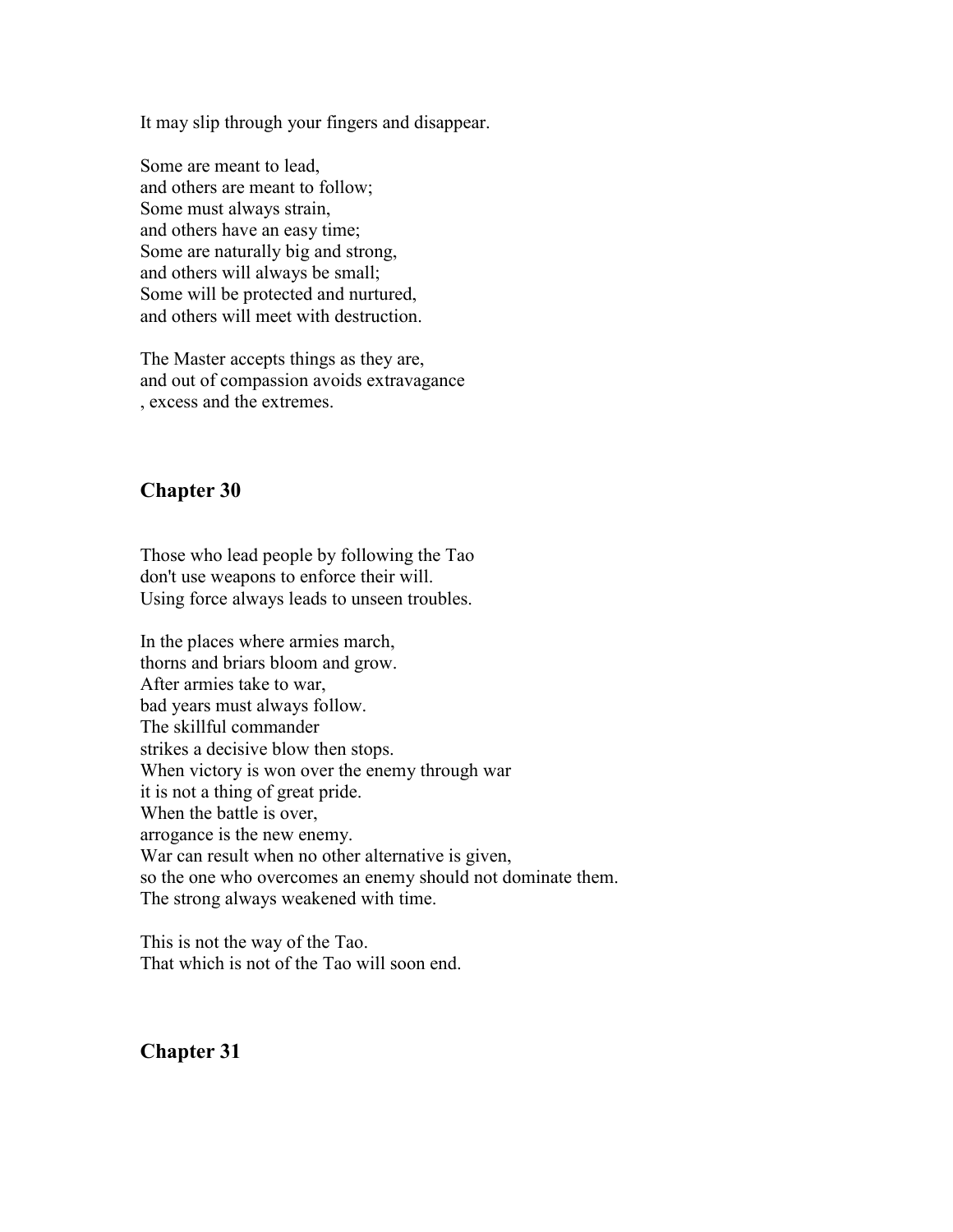It may slip through your fingers and disappear.

Some are meant to lead, and others are meant to follow; Some must always strain, and others have an easy time; Some are naturally big and strong, and others will always be small; Some will be protected and nurtured, and others will meet with destruction.

The Master accepts things as they are, and out of compassion avoids extravagance , excess and the extremes.

# **Chapter 30**

Those who lead people by following the Tao don't use weapons to enforce their will. Using force always leads to unseen troubles.

In the places where armies march, thorns and briars bloom and grow. After armies take to war, bad years must always follow. The skillful commander strikes a decisive blow then stops. When victory is won over the enemy through war it is not a thing of great pride. When the battle is over, arrogance is the new enemy. War can result when no other alternative is given, so the one who overcomes an enemy should not dominate them. The strong always weakened with time.

This is not the way of the Tao. That which is not of the Tao will soon end.

# **Chapter 31**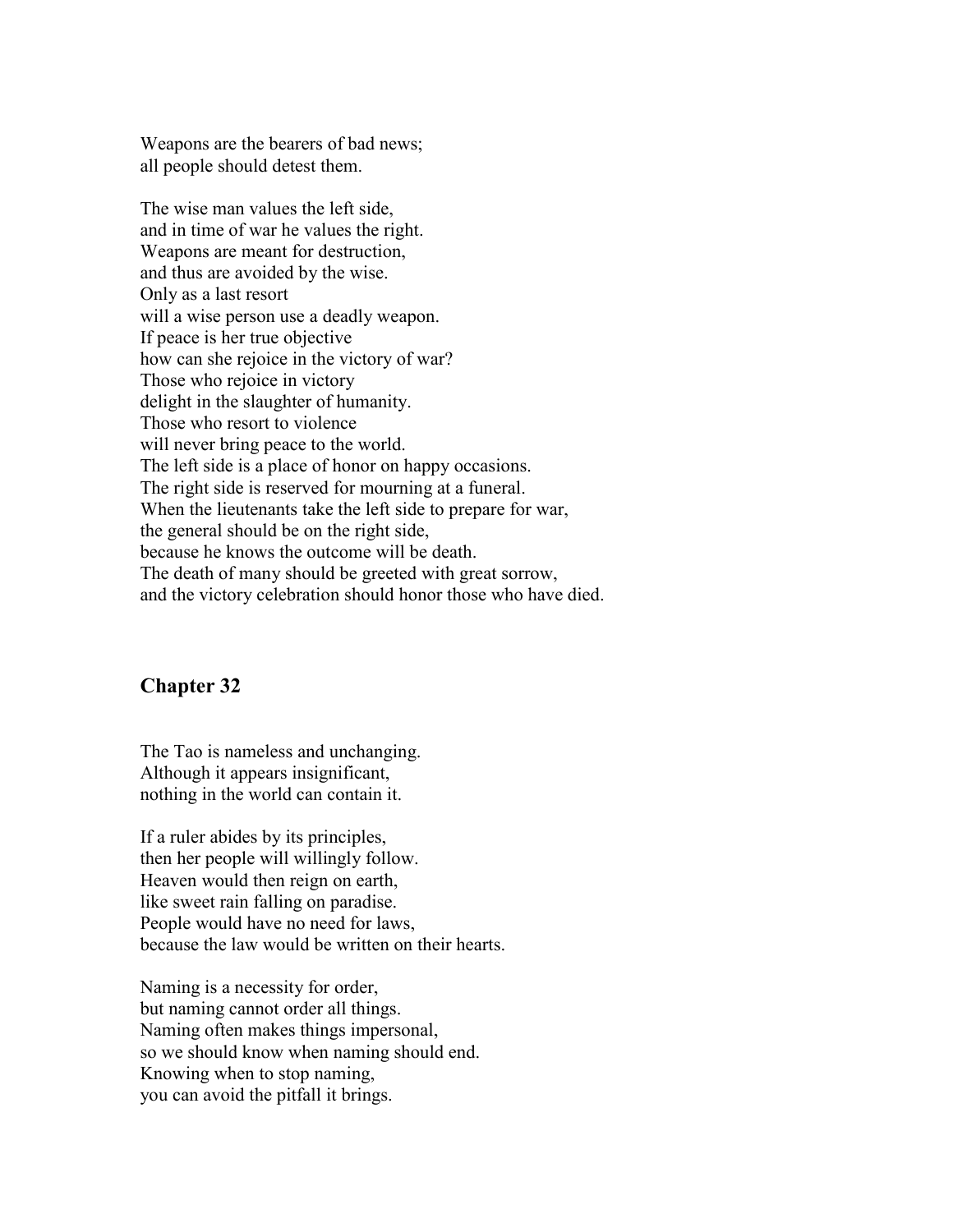Weapons are the bearers of bad news; all people should detest them.

The wise man values the left side, and in time of war he values the right. Weapons are meant for destruction, and thus are avoided by the wise. Only as a last resort will a wise person use a deadly weapon. If peace is her true objective how can she rejoice in the victory of war? Those who rejoice in victory delight in the slaughter of humanity. Those who resort to violence will never bring peace to the world. The left side is a place of honor on happy occasions. The right side is reserved for mourning at a funeral. When the lieutenants take the left side to prepare for war, the general should be on the right side, because he knows the outcome will be death. The death of many should be greeted with great sorrow, and the victory celebration should honor those who have died.

#### **Chapter 32**

The Tao is nameless and unchanging. Although it appears insignificant, nothing in the world can contain it.

If a ruler abides by its principles, then her people will willingly follow. Heaven would then reign on earth, like sweet rain falling on paradise. People would have no need for laws, because the law would be written on their hearts.

Naming is a necessity for order, but naming cannot order all things. Naming often makes things impersonal, so we should know when naming should end. Knowing when to stop naming, you can avoid the pitfall it brings.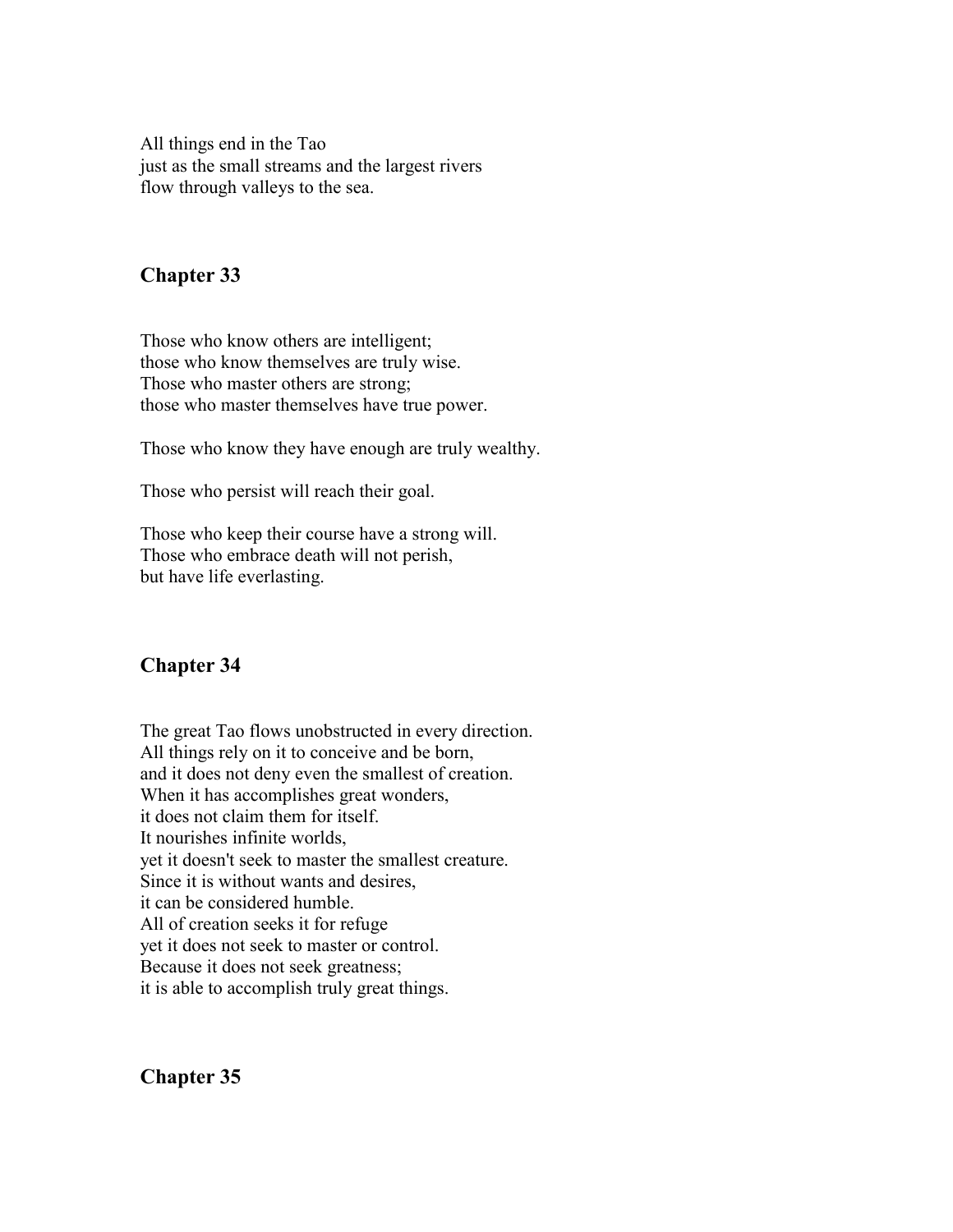All things end in the Tao just as the small streams and the largest rivers flow through valleys to the sea.

#### **Chapter 33**

Those who know others are intelligent; those who know themselves are truly wise. Those who master others are strong; those who master themselves have true power.

Those who know they have enough are truly wealthy.

Those who persist will reach their goal.

Those who keep their course have a strong will. Those who embrace death will not perish, but have life everlasting.

# **Chapter 34**

The great Tao flows unobstructed in every direction. All things rely on it to conceive and be born, and it does not deny even the smallest of creation. When it has accomplishes great wonders, it does not claim them for itself. It nourishes infinite worlds, yet it doesn't seek to master the smallest creature. Since it is without wants and desires, it can be considered humble. All of creation seeks it for refuge yet it does not seek to master or control. Because it does not seek greatness; it is able to accomplish truly great things.

**Chapter 35**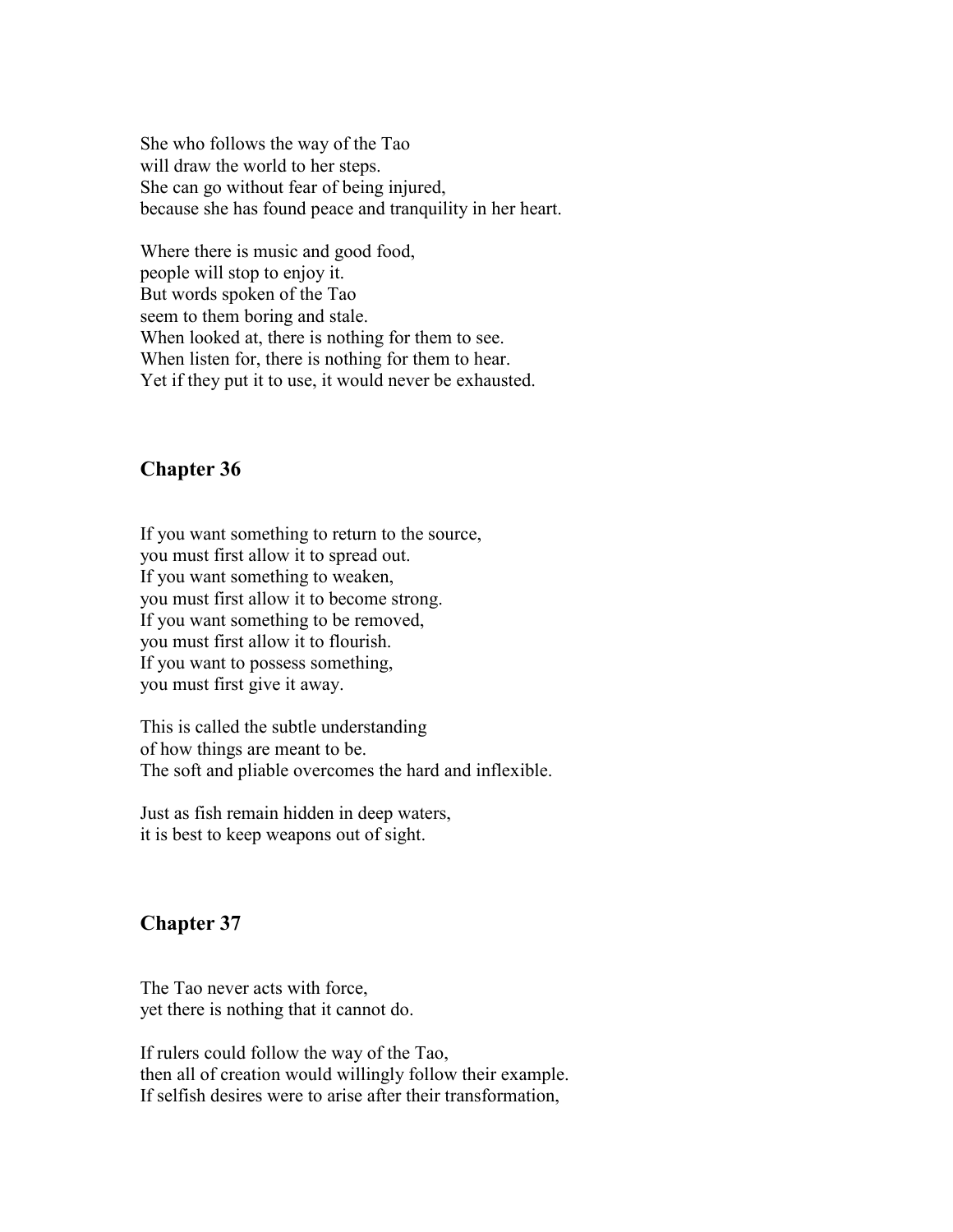She who follows the way of the Tao will draw the world to her steps. She can go without fear of being injured, because she has found peace and tranquility in her heart.

Where there is music and good food, people will stop to enjoy it. But words spoken of the Tao seem to them boring and stale. When looked at, there is nothing for them to see. When listen for, there is nothing for them to hear. Yet if they put it to use, it would never be exhausted.

#### **Chapter 36**

If you want something to return to the source, you must first allow it to spread out. If you want something to weaken, you must first allow it to become strong. If you want something to be removed, you must first allow it to flourish. If you want to possess something, you must first give it away.

This is called the subtle understanding of how things are meant to be. The soft and pliable overcomes the hard and inflexible.

Just as fish remain hidden in deep waters, it is best to keep weapons out of sight.

# **Chapter 37**

The Tao never acts with force, yet there is nothing that it cannot do.

If rulers could follow the way of the Tao, then all of creation would willingly follow their example. If selfish desires were to arise after their transformation,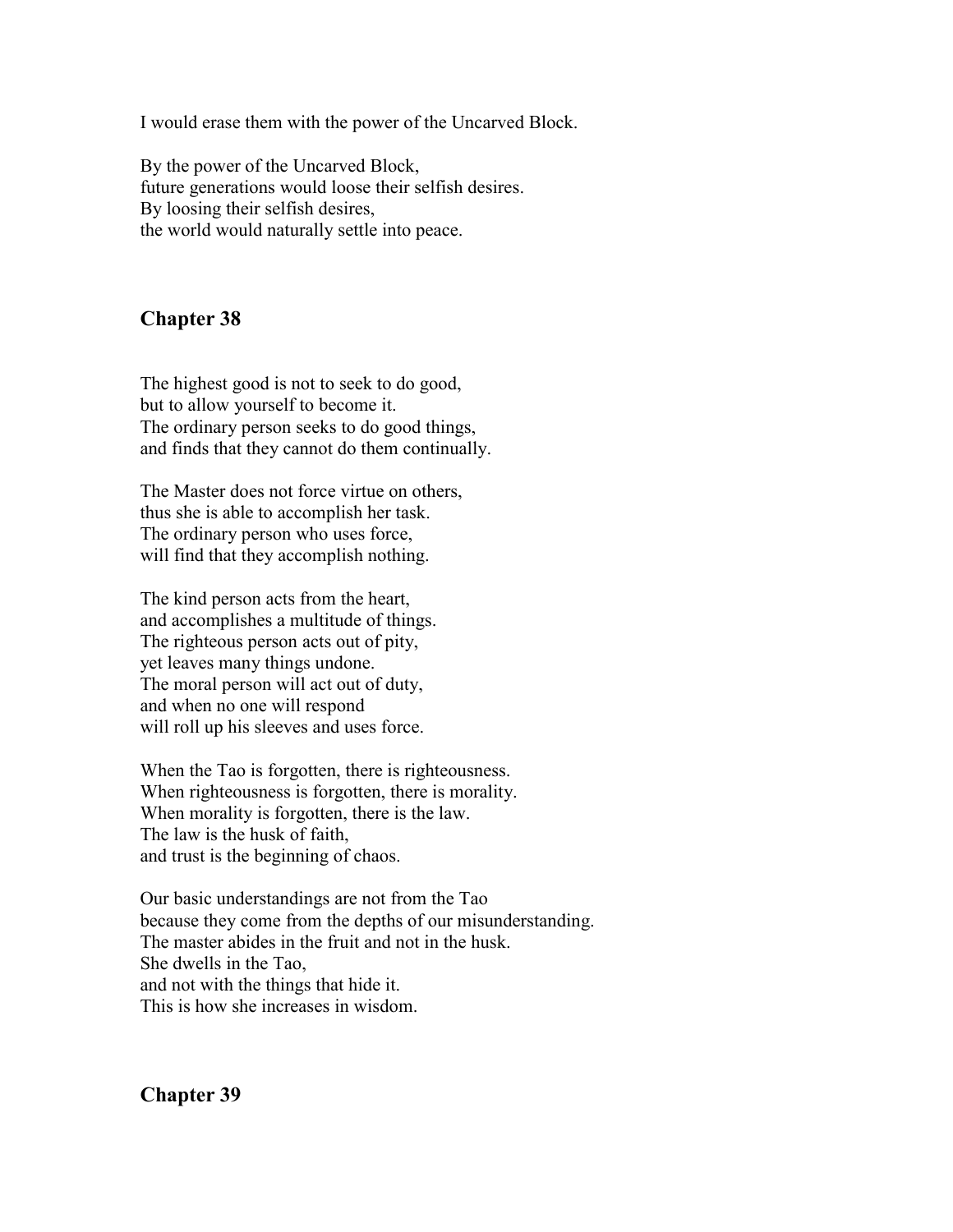I would erase them with the power of the Uncarved Block.

By the power of the Uncarved Block, future generations would loose their selfish desires. By loosing their selfish desires, the world would naturally settle into peace.

# **Chapter 38**

The highest good is not to seek to do good, but to allow yourself to become it. The ordinary person seeks to do good things, and finds that they cannot do them continually.

The Master does not force virtue on others, thus she is able to accomplish her task. The ordinary person who uses force, will find that they accomplish nothing.

The kind person acts from the heart, and accomplishes a multitude of things. The righteous person acts out of pity, yet leaves many things undone. The moral person will act out of duty, and when no one will respond will roll up his sleeves and uses force.

When the Tao is forgotten, there is righteousness. When righteousness is forgotten, there is morality. When morality is forgotten, there is the law. The law is the husk of faith, and trust is the beginning of chaos.

Our basic understandings are not from the Tao because they come from the depths of our misunderstanding. The master abides in the fruit and not in the husk. She dwells in the Tao, and not with the things that hide it. This is how she increases in wisdom.

**Chapter 39**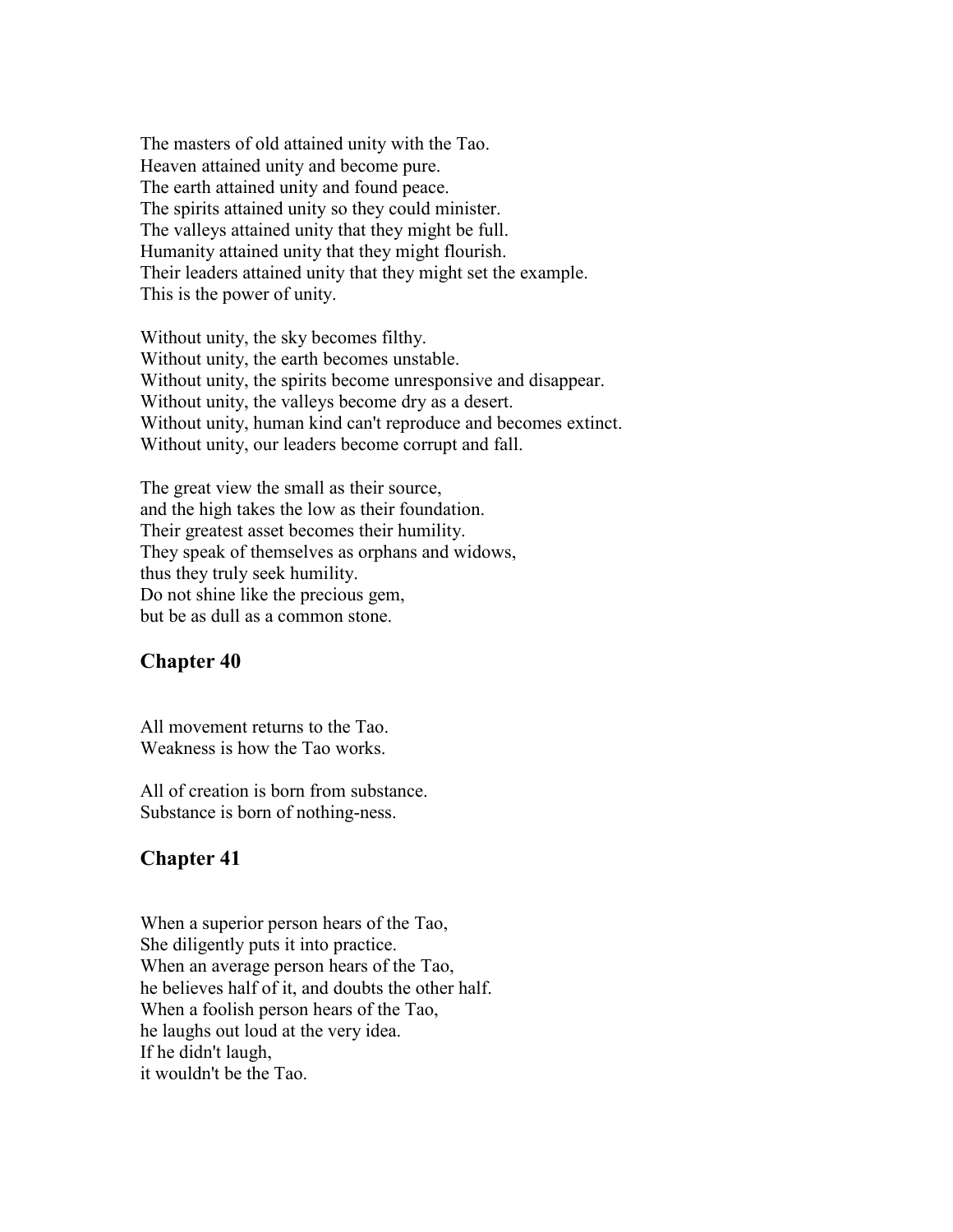The masters of old attained unity with the Tao. Heaven attained unity and become pure. The earth attained unity and found peace. The spirits attained unity so they could minister. The valleys attained unity that they might be full. Humanity attained unity that they might flourish. Their leaders attained unity that they might set the example. This is the power of unity.

Without unity, the sky becomes filthy. Without unity, the earth becomes unstable. Without unity, the spirits become unresponsive and disappear. Without unity, the valleys become dry as a desert. Without unity, human kind can't reproduce and becomes extinct. Without unity, our leaders become corrupt and fall.

The great view the small as their source, and the high takes the low as their foundation. Their greatest asset becomes their humility. They speak of themselves as orphans and widows, thus they truly seek humility. Do not shine like the precious gem, but be as dull as a common stone.

#### **Chapter 40**

All movement returns to the Tao. Weakness is how the Tao works.

All of creation is born from substance. Substance is born of nothing-ness.

#### **Chapter 41**

When a superior person hears of the Tao, She diligently puts it into practice. When an average person hears of the Tao, he believes half of it, and doubts the other half. When a foolish person hears of the Tao, he laughs out loud at the very idea. If he didn't laugh, it wouldn't be the Tao.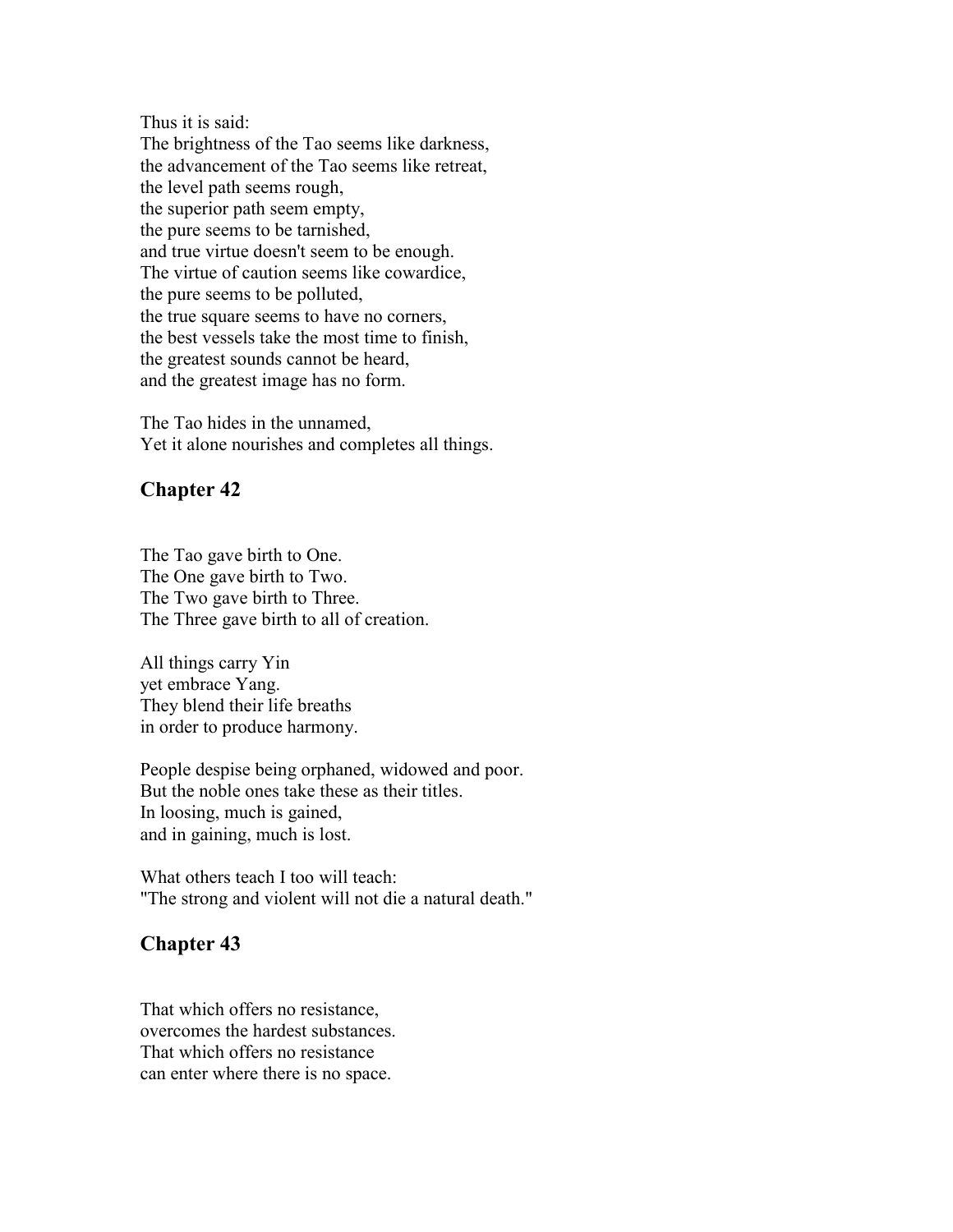Thus it is said:

The brightness of the Tao seems like darkness, the advancement of the Tao seems like retreat, the level path seems rough, the superior path seem empty, the pure seems to be tarnished, and true virtue doesn't seem to be enough. The virtue of caution seems like cowardice, the pure seems to be polluted, the true square seems to have no corners, the best vessels take the most time to finish, the greatest sounds cannot be heard, and the greatest image has no form.

The Tao hides in the unnamed, Yet it alone nourishes and completes all things.

#### **Chapter 42**

The Tao gave birth to One. The One gave birth to Two. The Two gave birth to Three. The Three gave birth to all of creation.

All things carry Yin yet embrace Yang. They blend their life breaths in order to produce harmony.

People despise being orphaned, widowed and poor. But the noble ones take these as their titles. In loosing, much is gained, and in gaining, much is lost.

What others teach I too will teach: "The strong and violent will not die a natural death."

# **Chapter 43**

That which offers no resistance, overcomes the hardest substances. That which offers no resistance can enter where there is no space.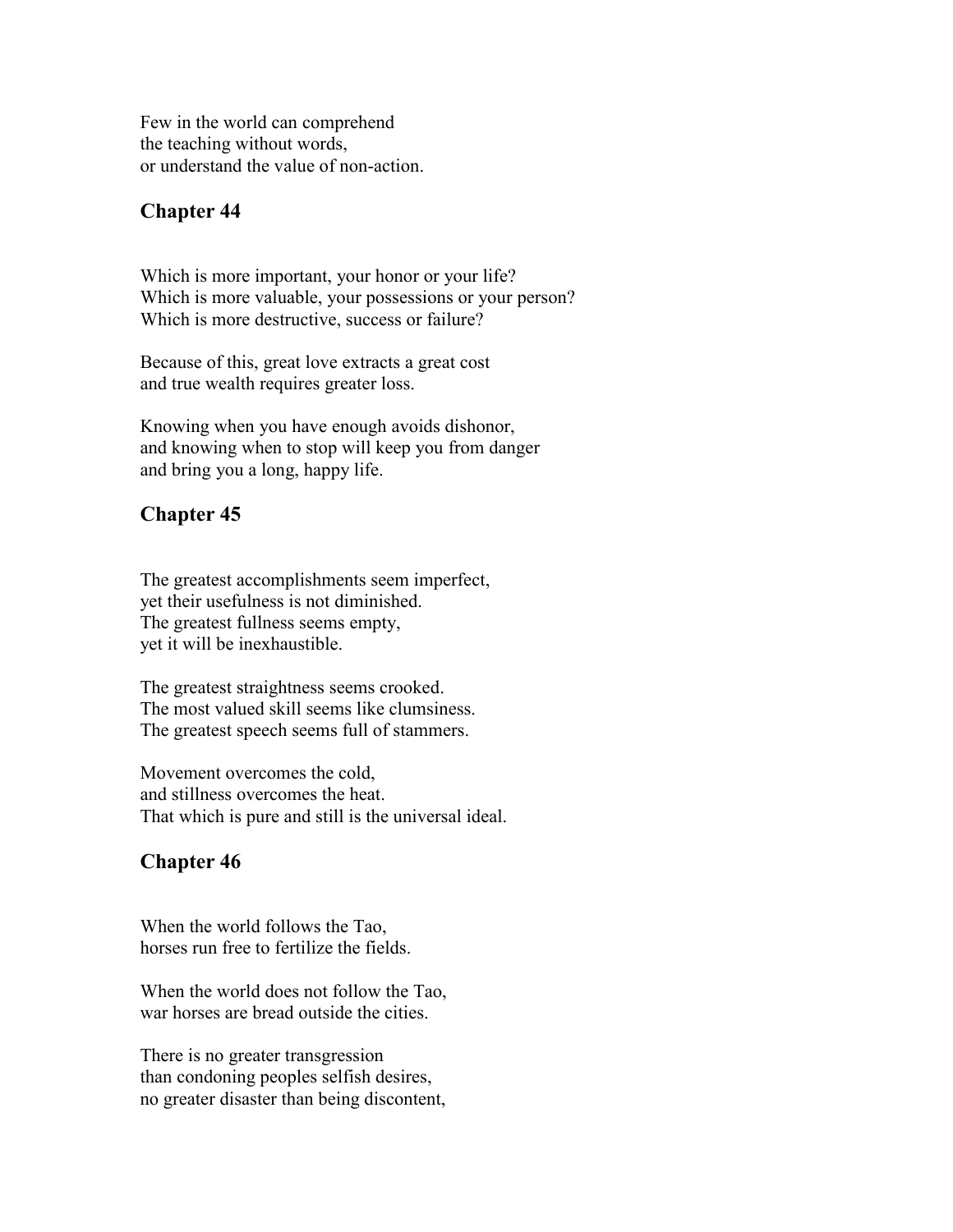Few in the world can comprehend the teaching without words, or understand the value of non-action.

#### **Chapter 44**

Which is more important, your honor or your life? Which is more valuable, your possessions or your person? Which is more destructive, success or failure?

Because of this, great love extracts a great cost and true wealth requires greater loss.

Knowing when you have enough avoids dishonor, and knowing when to stop will keep you from danger and bring you a long, happy life.

# **Chapter 45**

The greatest accomplishments seem imperfect, yet their usefulness is not diminished. The greatest fullness seems empty, yet it will be inexhaustible.

The greatest straightness seems crooked. The most valued skill seems like clumsiness. The greatest speech seems full of stammers.

Movement overcomes the cold, and stillness overcomes the heat. That which is pure and still is the universal ideal.

# **Chapter 46**

When the world follows the Tao, horses run free to fertilize the fields.

When the world does not follow the Tao, war horses are bread outside the cities.

There is no greater transgression than condoning peoples selfish desires, no greater disaster than being discontent,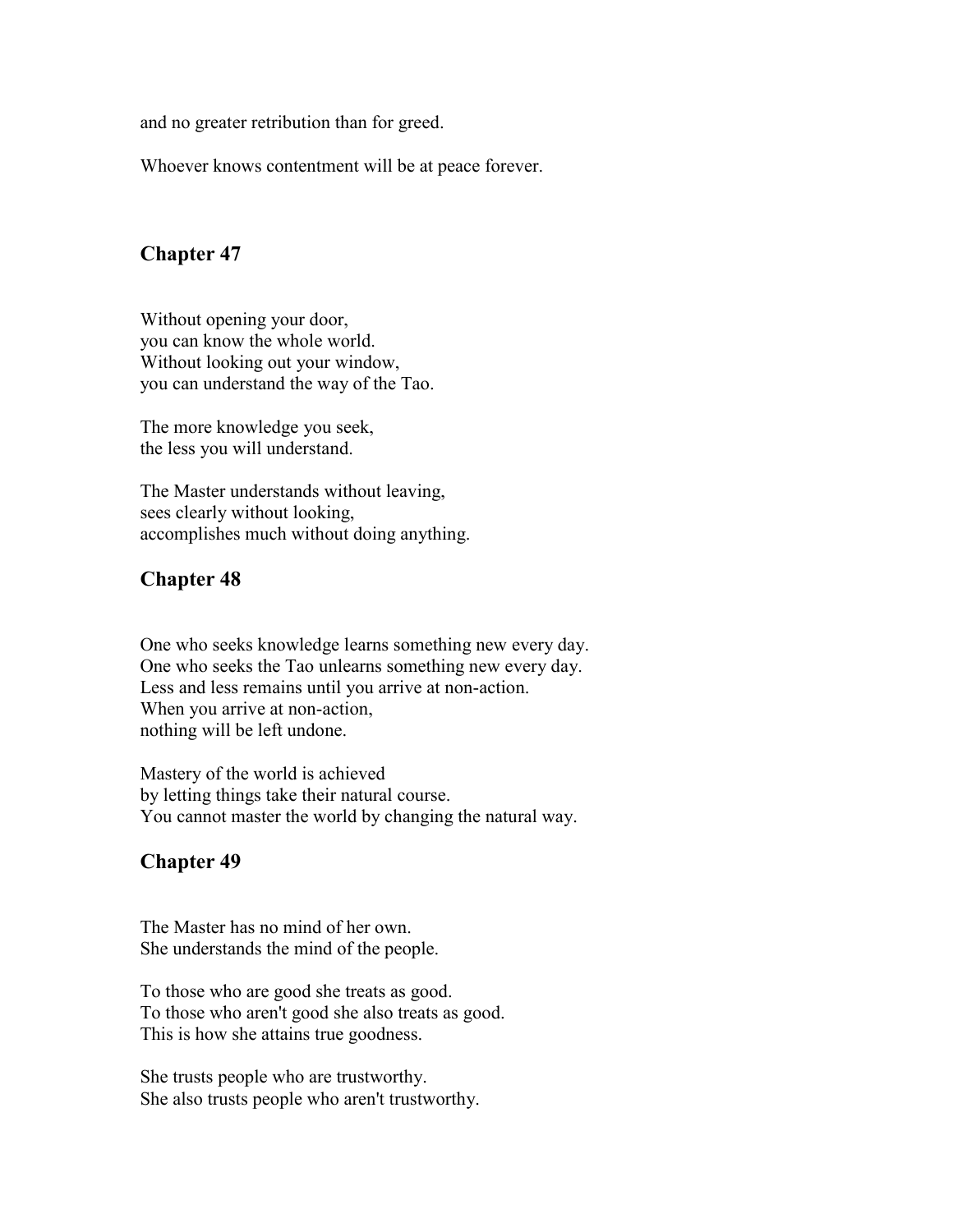and no greater retribution than for greed.

Whoever knows contentment will be at peace forever.

#### **Chapter 47**

Without opening your door, you can know the whole world. Without looking out your window, you can understand the way of the Tao.

The more knowledge you seek, the less you will understand.

The Master understands without leaving, sees clearly without looking, accomplishes much without doing anything.

#### **Chapter 48**

One who seeks knowledge learns something new every day. One who seeks the Tao unlearns something new every day. Less and less remains until you arrive at non-action. When you arrive at non-action, nothing will be left undone.

Mastery of the world is achieved by letting things take their natural course. You cannot master the world by changing the natural way.

#### **Chapter 49**

The Master has no mind of her own. She understands the mind of the people.

To those who are good she treats as good. To those who aren't good she also treats as good. This is how she attains true goodness.

She trusts people who are trustworthy. She also trusts people who aren't trustworthy.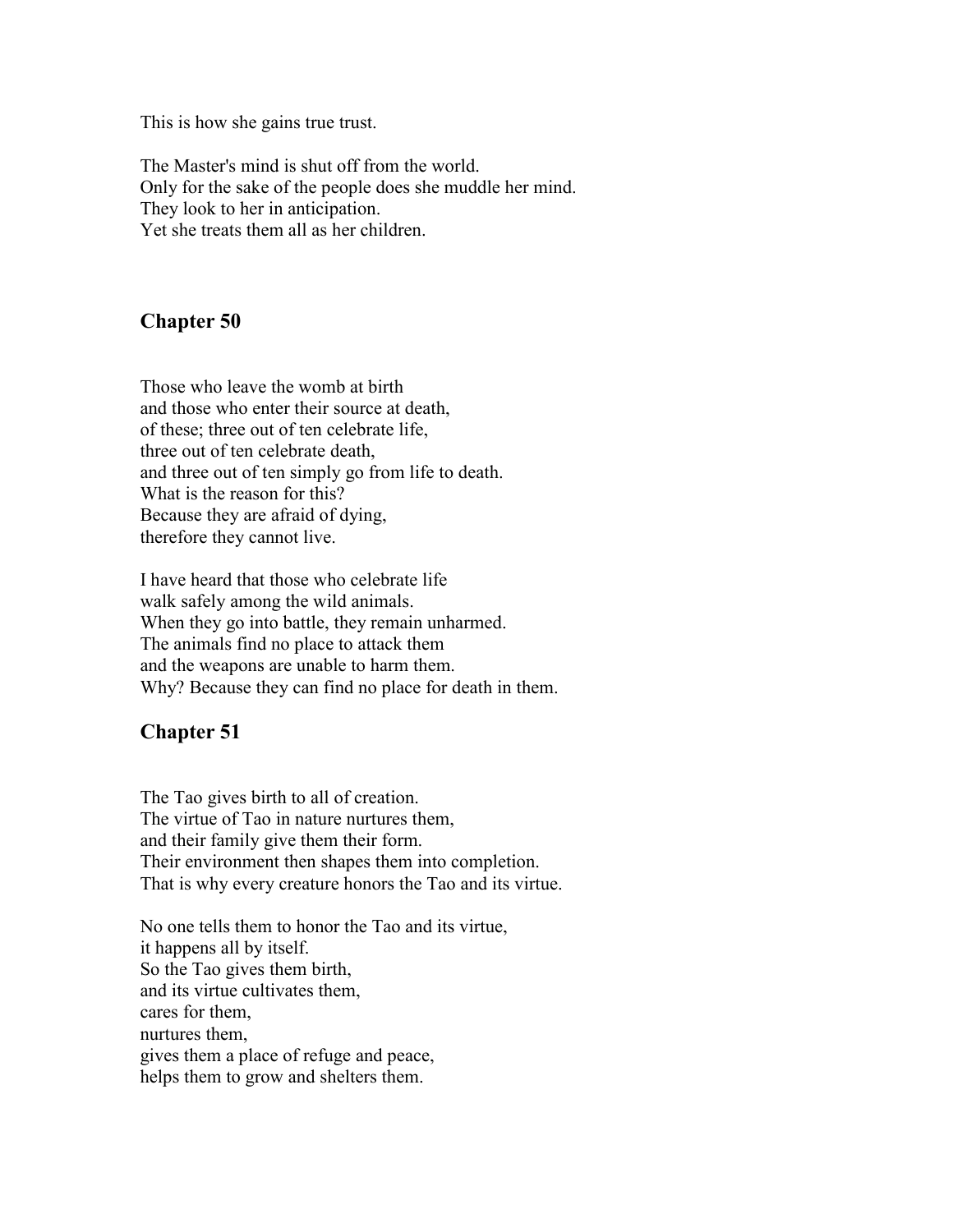This is how she gains true trust.

The Master's mind is shut off from the world. Only for the sake of the people does she muddle her mind. They look to her in anticipation. Yet she treats them all as her children.

# **Chapter 50**

Those who leave the womb at birth and those who enter their source at death, of these; three out of ten celebrate life, three out of ten celebrate death, and three out of ten simply go from life to death. What is the reason for this? Because they are afraid of dying, therefore they cannot live.

I have heard that those who celebrate life walk safely among the wild animals. When they go into battle, they remain unharmed. The animals find no place to attack them and the weapons are unable to harm them. Why? Because they can find no place for death in them.

# **Chapter 51**

The Tao gives birth to all of creation. The virtue of Tao in nature nurtures them, and their family give them their form. Their environment then shapes them into completion. That is why every creature honors the Tao and its virtue.

No one tells them to honor the Tao and its virtue, it happens all by itself. So the Tao gives them birth, and its virtue cultivates them, cares for them, nurtures them, gives them a place of refuge and peace, helps them to grow and shelters them.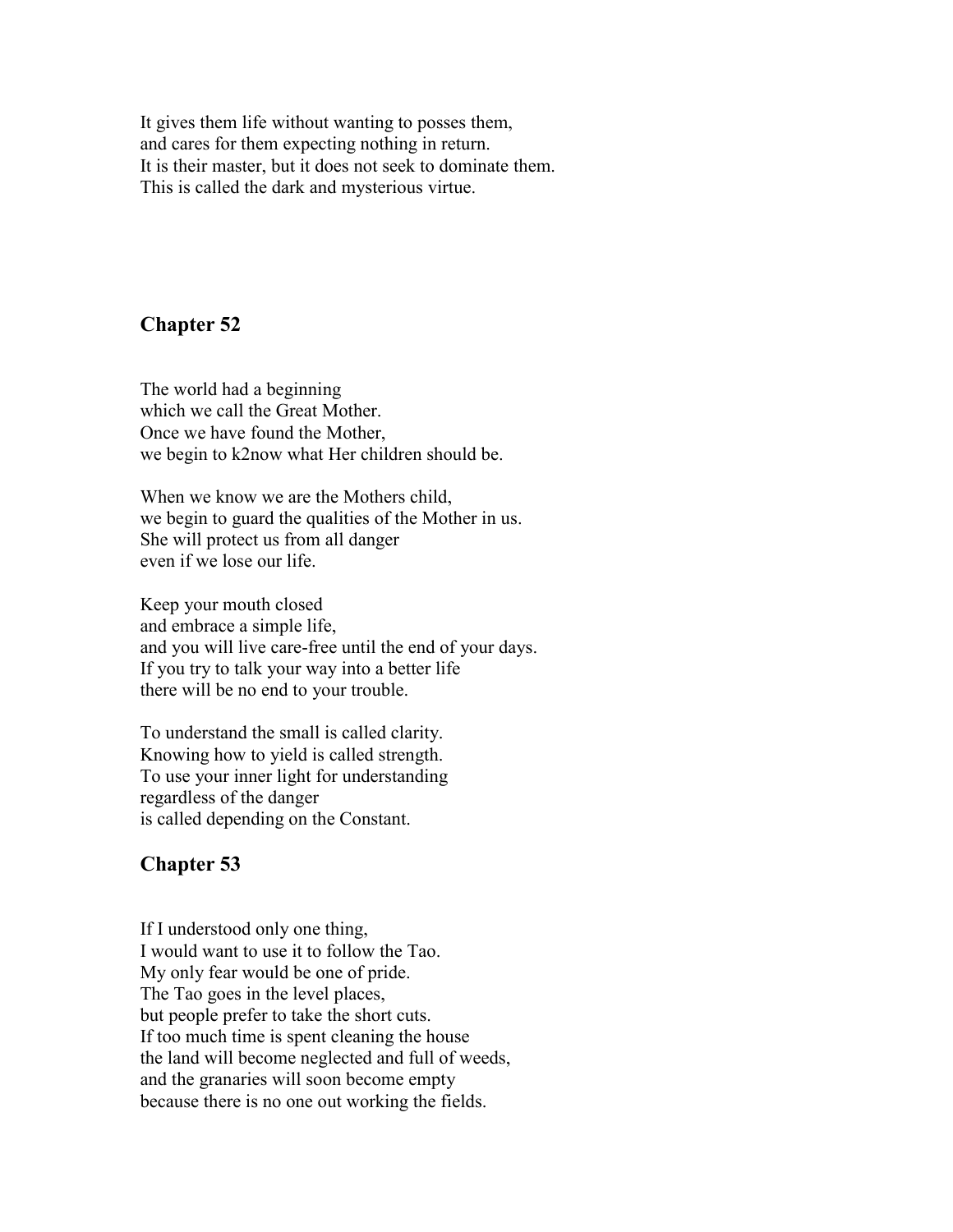It gives them life without wanting to posses them, and cares for them expecting nothing in return. It is their master, but it does not seek to dominate them. This is called the dark and mysterious virtue.

#### **Chapter 52**

The world had a beginning which we call the Great Mother. Once we have found the Mother we begin to k2now what Her children should be.

When we know we are the Mothers child, we begin to guard the qualities of the Mother in us. She will protect us from all danger even if we lose our life.

Keep your mouth closed and embrace a simple life, and you will live care-free until the end of your days. If you try to talk your way into a better life there will be no end to your trouble.

To understand the small is called clarity. Knowing how to yield is called strength. To use your inner light for understanding regardless of the danger is called depending on the Constant.

# **Chapter 53**

If I understood only one thing, I would want to use it to follow the Tao. My only fear would be one of pride. The Tao goes in the level places, but people prefer to take the short cuts. If too much time is spent cleaning the house the land will become neglected and full of weeds, and the granaries will soon become empty because there is no one out working the fields.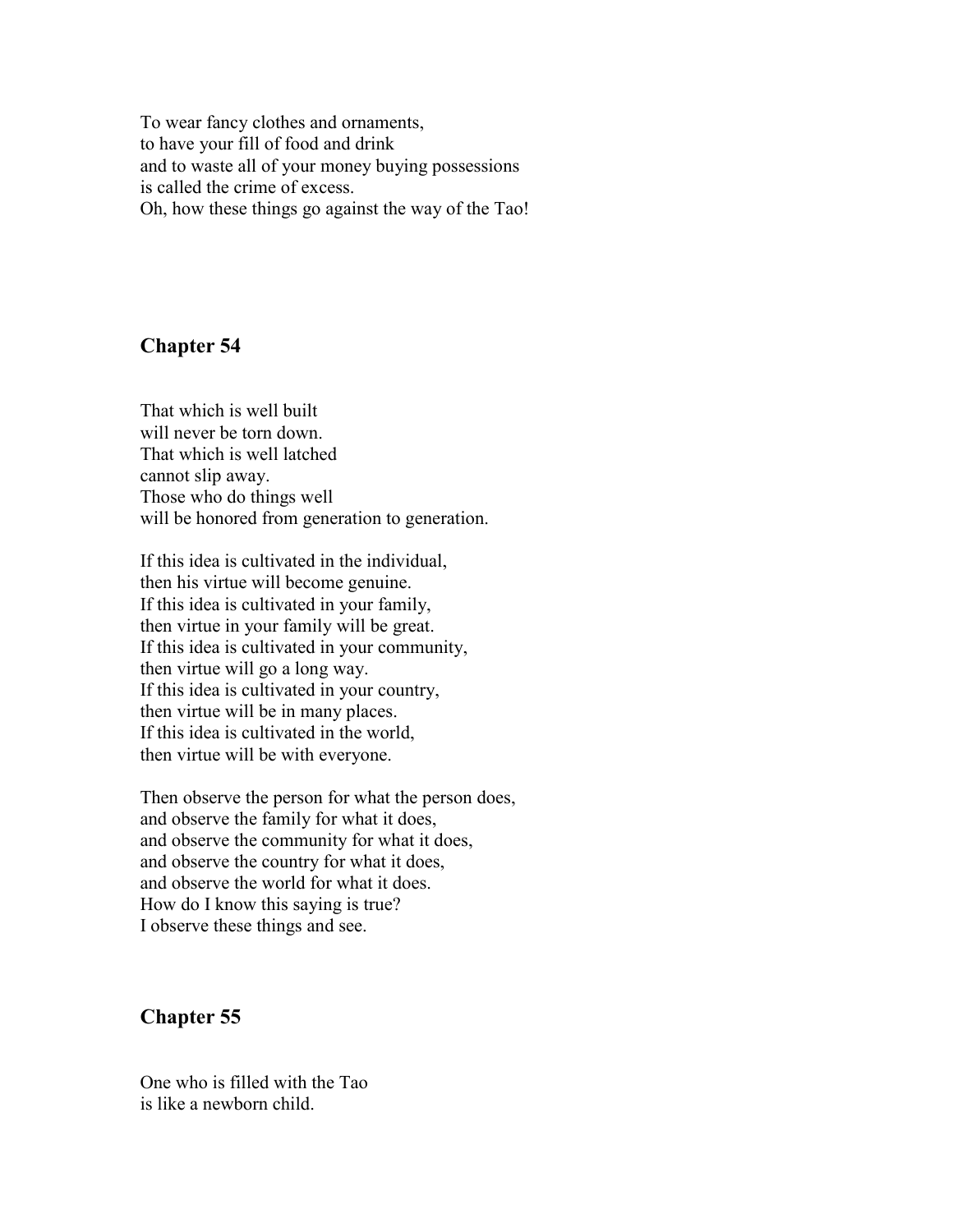To wear fancy clothes and ornaments, to have your fill of food and drink and to waste all of your money buying possessions is called the crime of excess. Oh, how these things go against the way of the Tao!

#### **Chapter 54**

That which is well built will never be torn down. That which is well latched cannot slip away. Those who do things well will be honored from generation to generation.

If this idea is cultivated in the individual, then his virtue will become genuine. If this idea is cultivated in your family, then virtue in your family will be great. If this idea is cultivated in your community, then virtue will go a long way. If this idea is cultivated in your country, then virtue will be in many places. If this idea is cultivated in the world, then virtue will be with everyone.

Then observe the person for what the person does, and observe the family for what it does, and observe the community for what it does, and observe the country for what it does, and observe the world for what it does. How do I know this saying is true? I observe these things and see.

#### **Chapter 55**

One who is filled with the Tao is like a newborn child.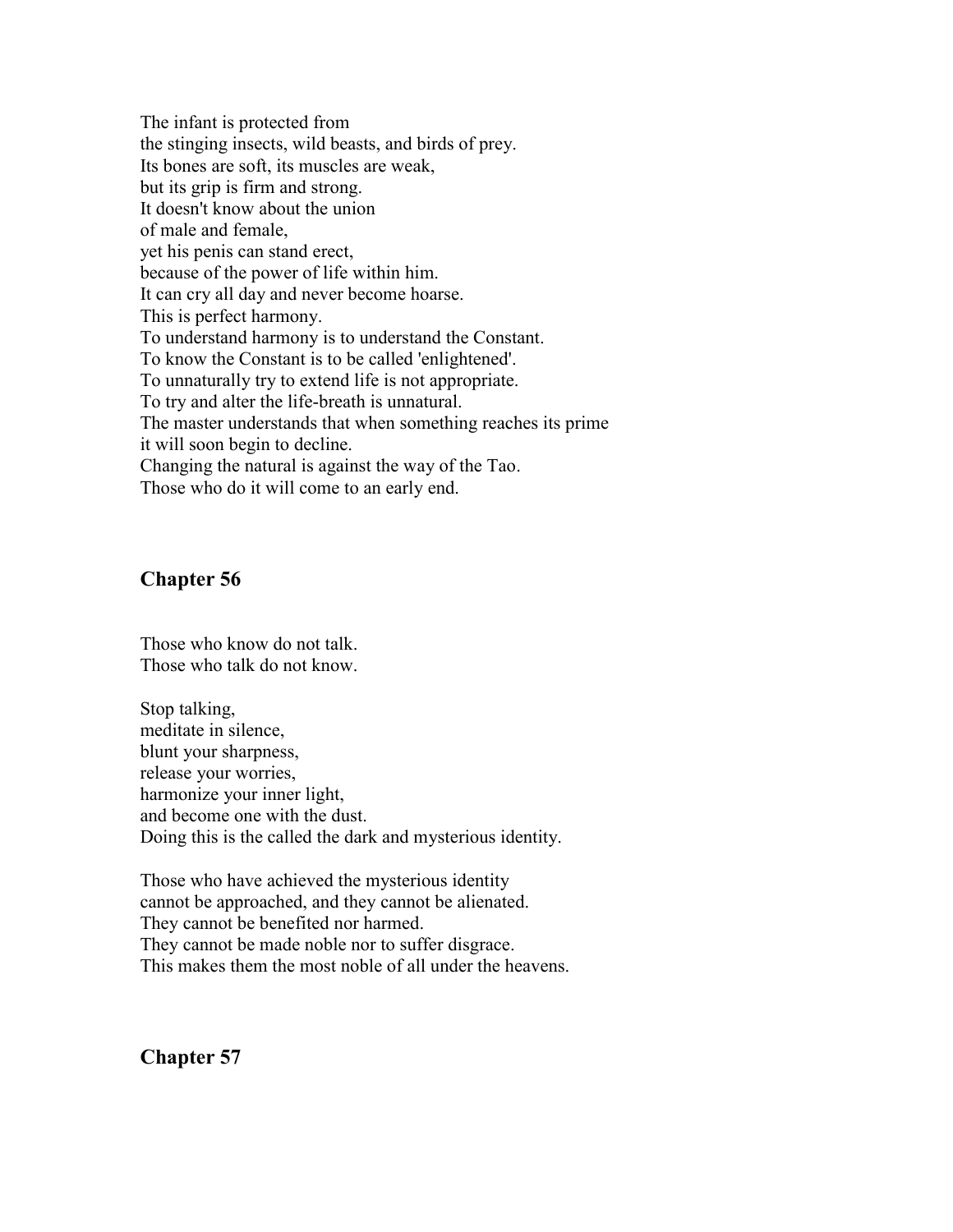The infant is protected from the stinging insects, wild beasts, and birds of prey. Its bones are soft, its muscles are weak, but its grip is firm and strong. It doesn't know about the union of male and female, yet his penis can stand erect, because of the power of life within him. It can cry all day and never become hoarse. This is perfect harmony. To understand harmony is to understand the Constant. To know the Constant is to be called 'enlightened'. To unnaturally try to extend life is not appropriate. To try and alter the life-breath is unnatural. The master understands that when something reaches its prime it will soon begin to decline. Changing the natural is against the way of the Tao. Those who do it will come to an early end.

#### **Chapter 56**

Those who know do not talk. Those who talk do not know.

Stop talking, meditate in silence, blunt your sharpness, release your worries, harmonize your inner light, and become one with the dust. Doing this is the called the dark and mysterious identity.

Those who have achieved the mysterious identity cannot be approached, and they cannot be alienated. They cannot be benefited nor harmed. They cannot be made noble nor to suffer disgrace. This makes them the most noble of all under the heavens.

**Chapter 57**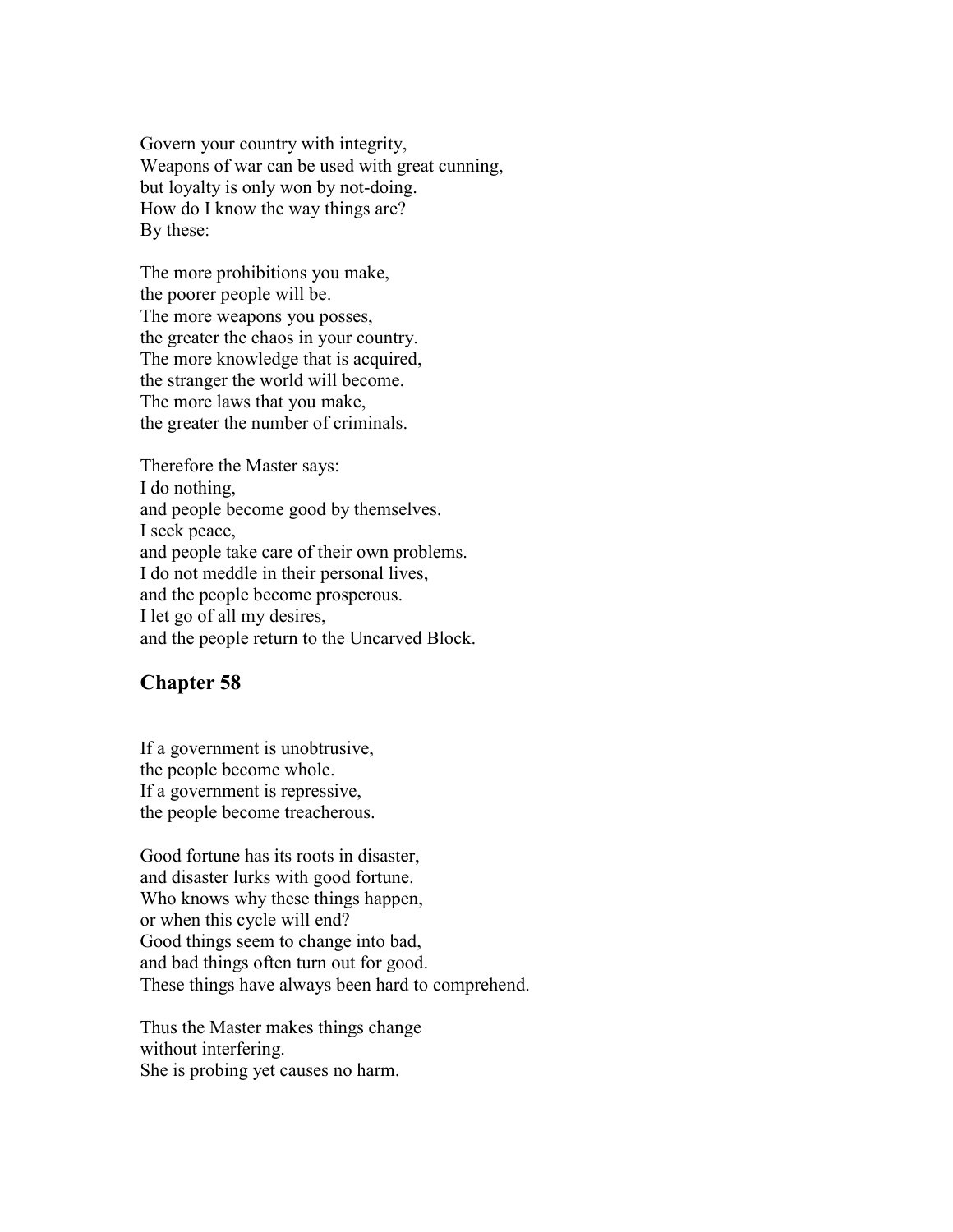Govern your country with integrity, Weapons of war can be used with great cunning, but loyalty is only won by not-doing. How do I know the way things are? By these:

The more prohibitions you make, the poorer people will be. The more weapons you posses, the greater the chaos in your country. The more knowledge that is acquired, the stranger the world will become. The more laws that you make, the greater the number of criminals.

Therefore the Master says: I do nothing, and people become good by themselves. I seek peace, and people take care of their own problems. I do not meddle in their personal lives, and the people become prosperous. I let go of all my desires, and the people return to the Uncarved Block.

#### **Chapter 58**

If a government is unobtrusive, the people become whole. If a government is repressive, the people become treacherous.

Good fortune has its roots in disaster, and disaster lurks with good fortune. Who knows why these things happen, or when this cycle will end? Good things seem to change into bad, and bad things often turn out for good. These things have always been hard to comprehend.

Thus the Master makes things change without interfering. She is probing yet causes no harm.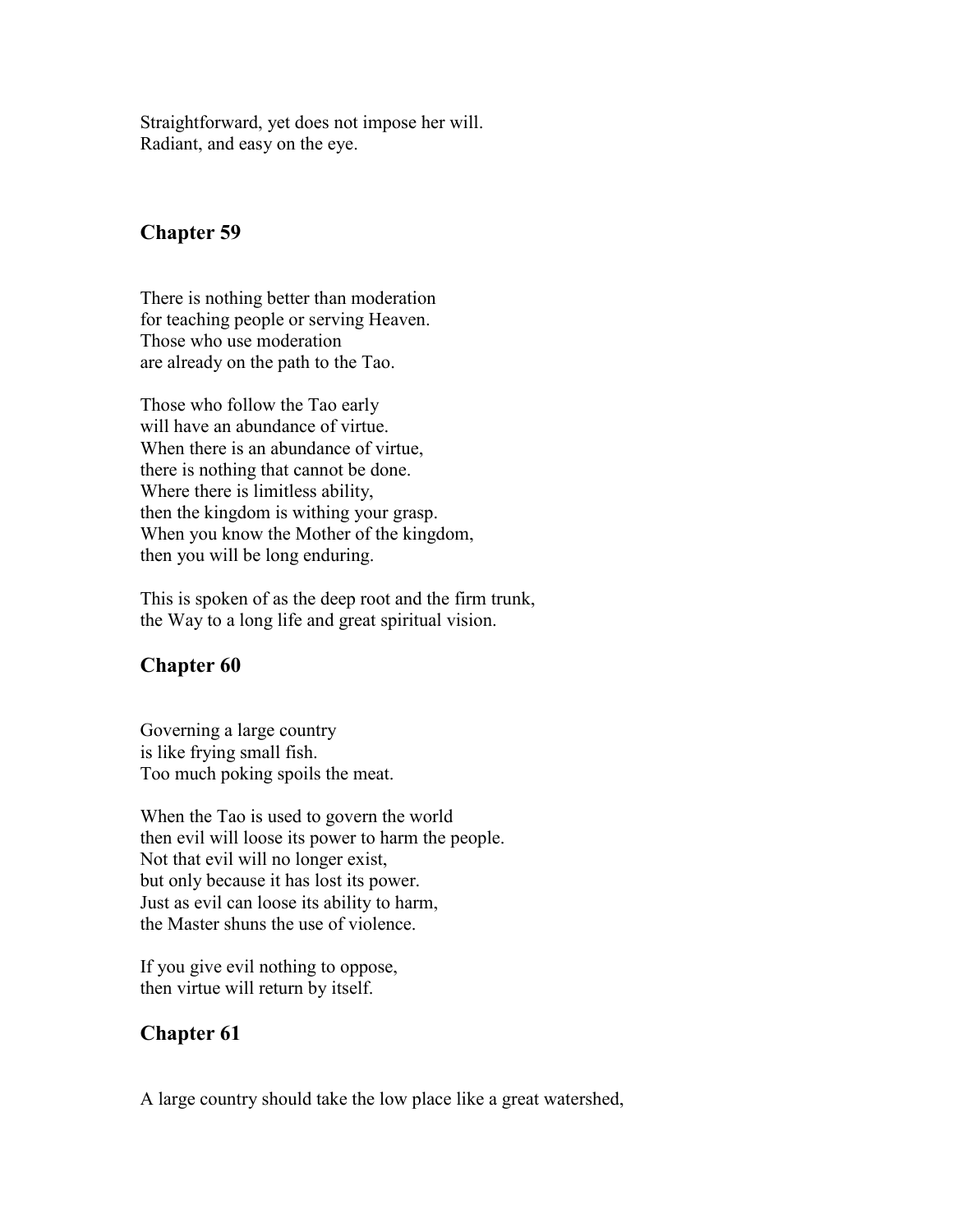Straightforward, yet does not impose her will. Radiant, and easy on the eye.

#### **Chapter 59**

There is nothing better than moderation for teaching people or serving Heaven. Those who use moderation are already on the path to the Tao.

Those who follow the Tao early will have an abundance of virtue. When there is an abundance of virtue. there is nothing that cannot be done. Where there is limitless ability, then the kingdom is withing your grasp. When you know the Mother of the kingdom, then you will be long enduring.

This is spoken of as the deep root and the firm trunk, the Way to a long life and great spiritual vision.

# **Chapter 60**

Governing a large country is like frying small fish. Too much poking spoils the meat.

When the Tao is used to govern the world then evil will loose its power to harm the people. Not that evil will no longer exist, but only because it has lost its power. Just as evil can loose its ability to harm, the Master shuns the use of violence.

If you give evil nothing to oppose, then virtue will return by itself.

# **Chapter 61**

A large country should take the low place like a great watershed,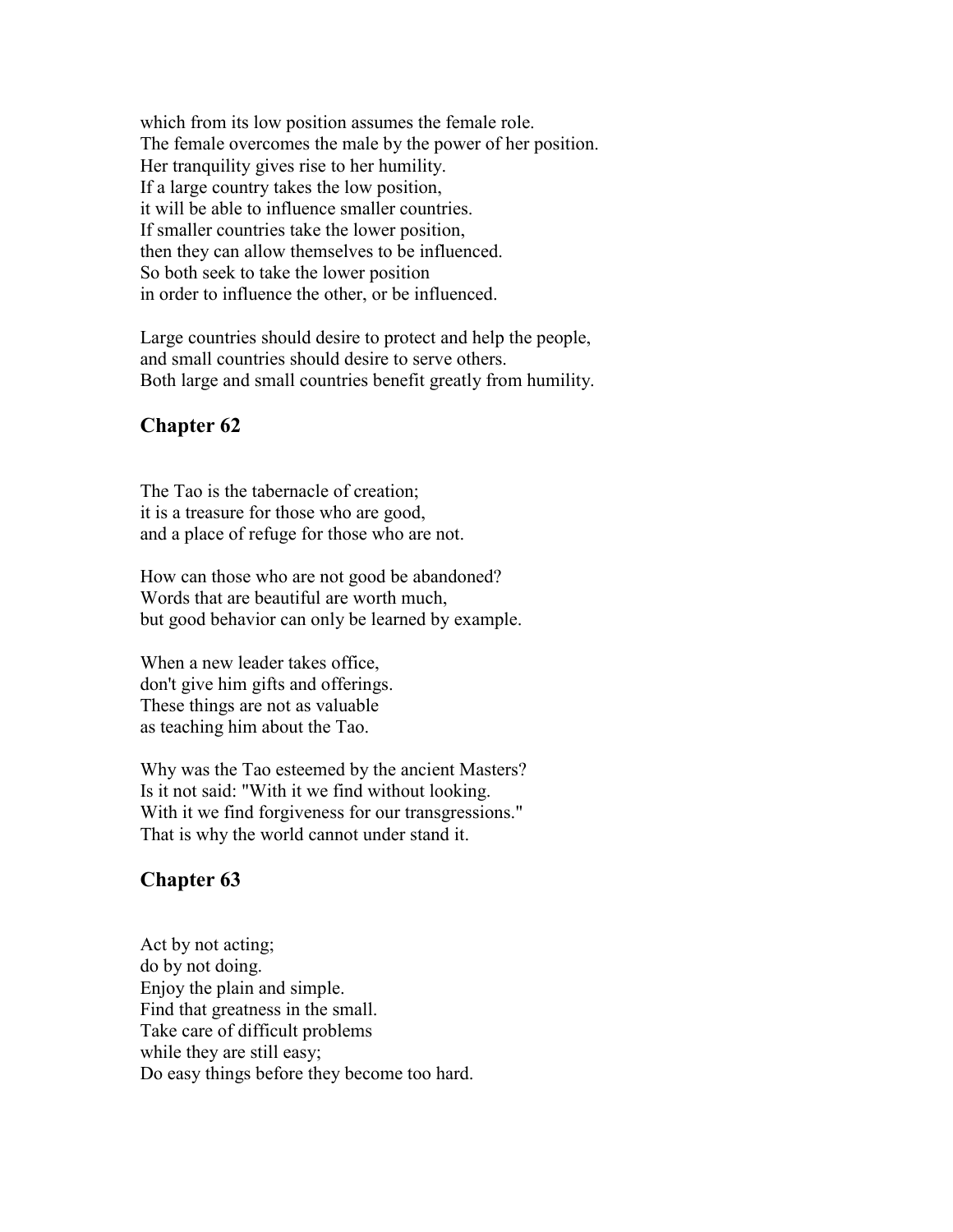which from its low position assumes the female role. The female overcomes the male by the power of her position. Her tranquility gives rise to her humility. If a large country takes the low position, it will be able to influence smaller countries. If smaller countries take the lower position, then they can allow themselves to be influenced. So both seek to take the lower position in order to influence the other, or be influenced.

Large countries should desire to protect and help the people, and small countries should desire to serve others. Both large and small countries benefit greatly from humility.

#### **Chapter 62**

The Tao is the tabernacle of creation; it is a treasure for those who are good, and a place of refuge for those who are not.

How can those who are not good be abandoned? Words that are beautiful are worth much, but good behavior can only be learned by example.

When a new leader takes office, don't give him gifts and offerings. These things are not as valuable as teaching him about the Tao.

Why was the Tao esteemed by the ancient Masters? Is it not said: "With it we find without looking. With it we find forgiveness for our transgressions." That is why the world cannot under stand it.

#### **Chapter 63**

Act by not acting; do by not doing. Enjoy the plain and simple. Find that greatness in the small. Take care of difficult problems while they are still easy; Do easy things before they become too hard.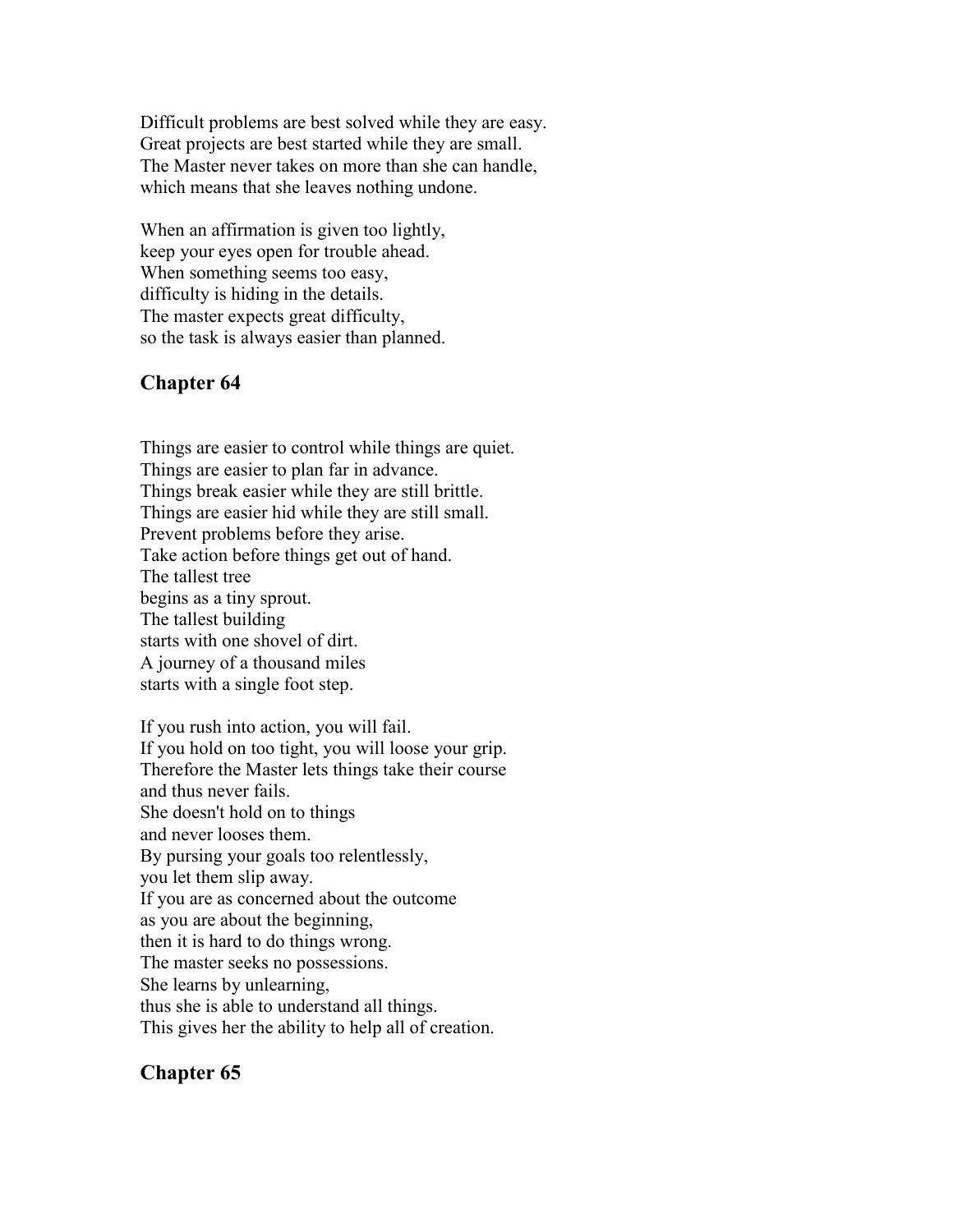Difficult problems are best solved while they are easy. Great projects are best started while they are small. The Master never takes on more than she can handle, which means that she leaves nothing undone.

When an affirmation is given too lightly, keep your eyes open for trouble ahead. When something seems too easy, difficulty is hiding in the details. The master expects great difficulty, so the task is always easier than planned.

# **Chapter 64**

Things are easier to control while things are quiet. Things are easier to plan far in advance. Things break easier while they are still brittle. Things are easier hid while they are still small. Prevent problems before they arise. Take action before things get out of hand. The tallest tree begins as a tiny sprout. The tallest building starts with one shovel of dirt. A journey of a thousand miles starts with a single foot step.

If you rush into action, you will fail. If you hold on too tight, you will loose your grip. Therefore the Master lets things take their course and thus never fails. She doesn't hold on to things and never looses them. By pursing your goals too relentlessly, you let them slip away. If you are as concerned about the outcome as you are about the beginning, then it is hard to do things wrong. The master seeks no possessions. She learns by unlearning, thus she is able to understand all things. This gives her the ability to help all of creation.

# **Chapter 65**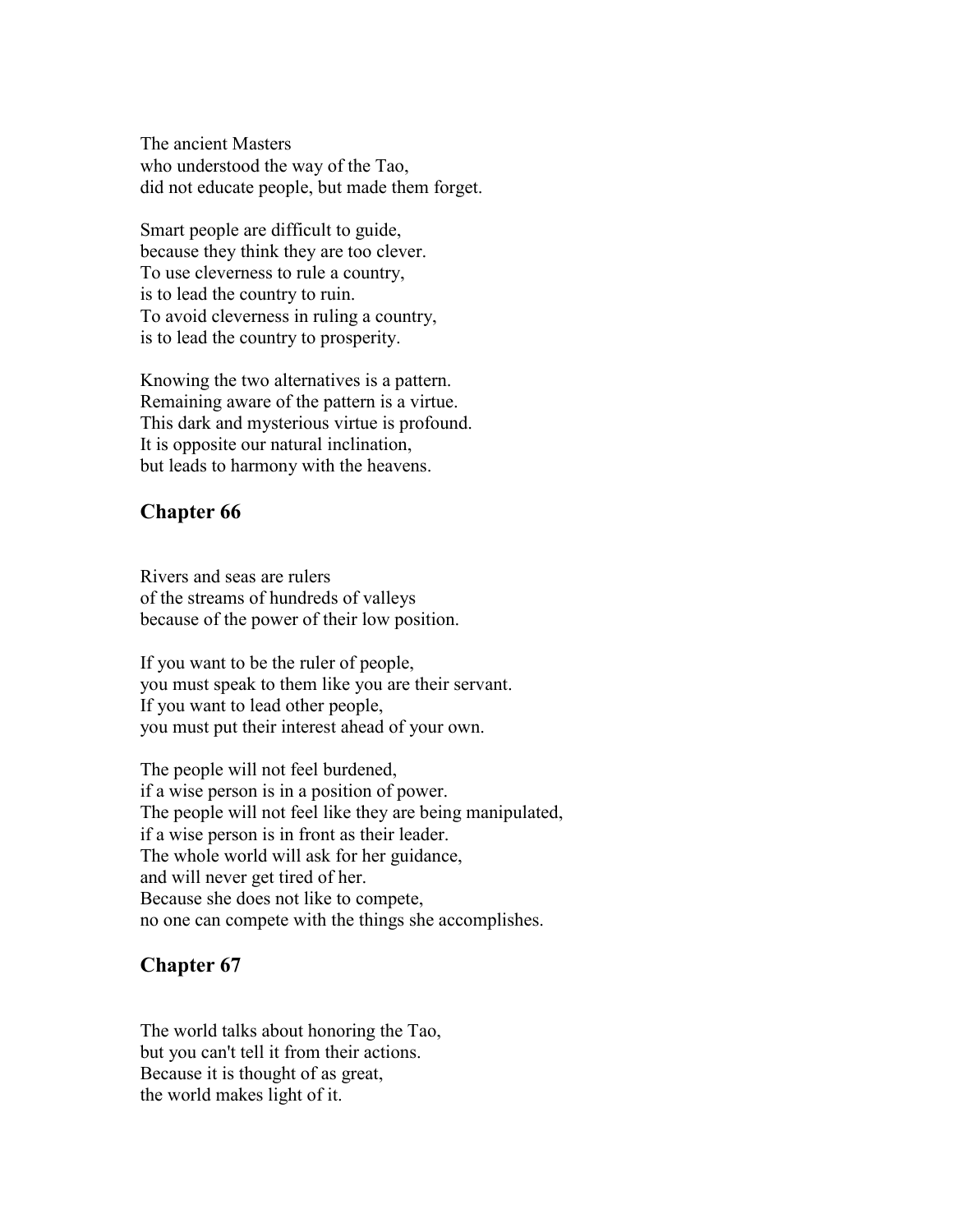The ancient Masters who understood the way of the Tao, did not educate people, but made them forget.

Smart people are difficult to guide, because they think they are too clever. To use cleverness to rule a country, is to lead the country to ruin. To avoid cleverness in ruling a country, is to lead the country to prosperity.

Knowing the two alternatives is a pattern. Remaining aware of the pattern is a virtue. This dark and mysterious virtue is profound. It is opposite our natural inclination, but leads to harmony with the heavens.

# **Chapter 66**

Rivers and seas are rulers of the streams of hundreds of valleys because of the power of their low position.

If you want to be the ruler of people, you must speak to them like you are their servant. If you want to lead other people, you must put their interest ahead of your own.

The people will not feel burdened, if a wise person is in a position of power. The people will not feel like they are being manipulated, if a wise person is in front as their leader. The whole world will ask for her guidance, and will never get tired of her. Because she does not like to compete, no one can compete with the things she accomplishes.

# **Chapter 67**

The world talks about honoring the Tao, but you can't tell it from their actions. Because it is thought of as great, the world makes light of it.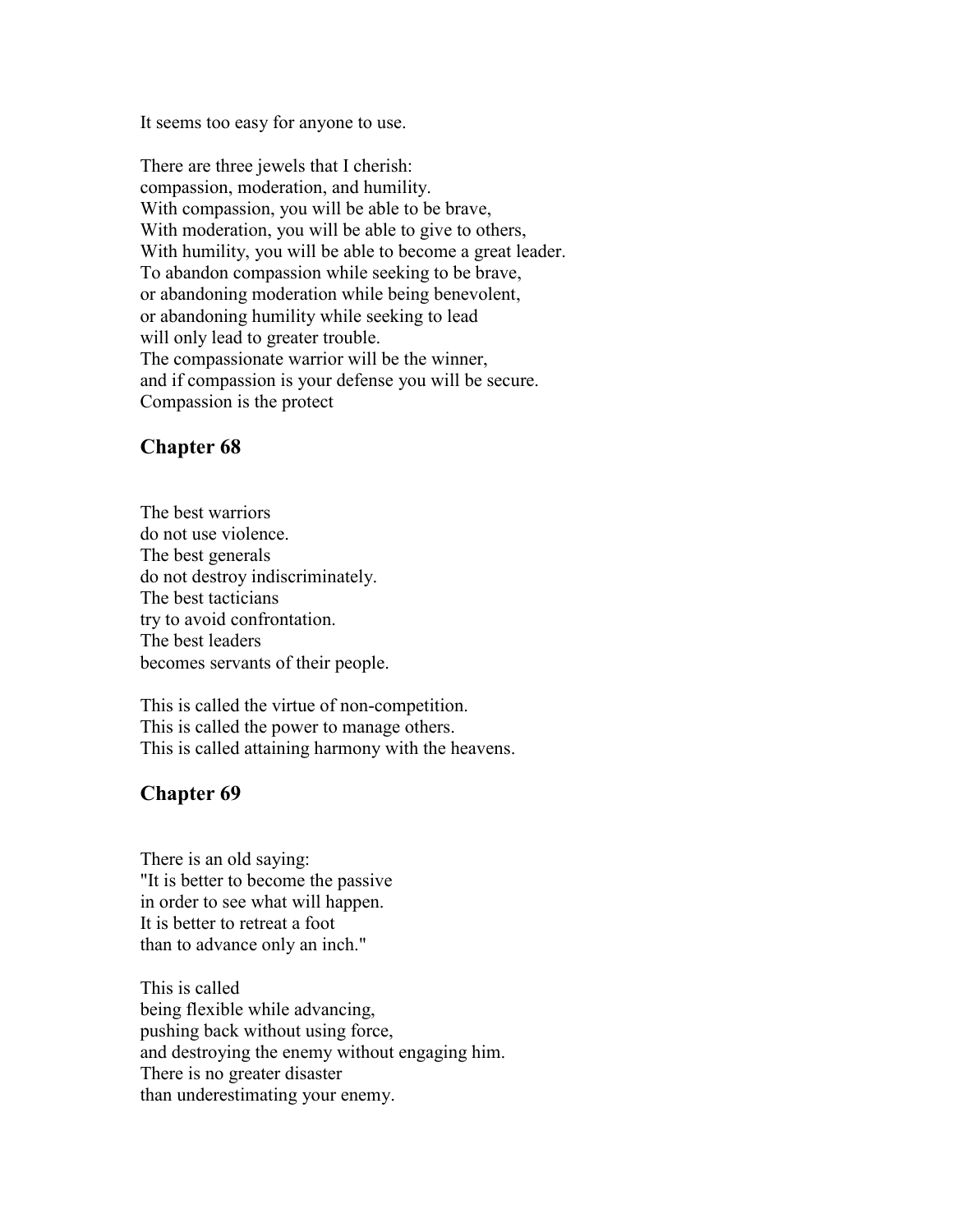It seems too easy for anyone to use.

There are three jewels that I cherish: compassion, moderation, and humility. With compassion, you will be able to be brave, With moderation, you will be able to give to others, With humility, you will be able to become a great leader. To abandon compassion while seeking to be brave, or abandoning moderation while being benevolent, or abandoning humility while seeking to lead will only lead to greater trouble. The compassionate warrior will be the winner, and if compassion is your defense you will be secure. Compassion is the protect

#### **Chapter 68**

The best warriors do not use violence. The best generals do not destroy indiscriminately. The best tacticians try to avoid confrontation. The best leaders becomes servants of their people.

This is called the virtue of non-competition. This is called the power to manage others. This is called attaining harmony with the heavens.

#### **Chapter 69**

There is an old saying: "It is better to become the passive in order to see what will happen. It is better to retreat a foot than to advance only an inch."

This is called being flexible while advancing, pushing back without using force, and destroying the enemy without engaging him. There is no greater disaster than underestimating your enemy.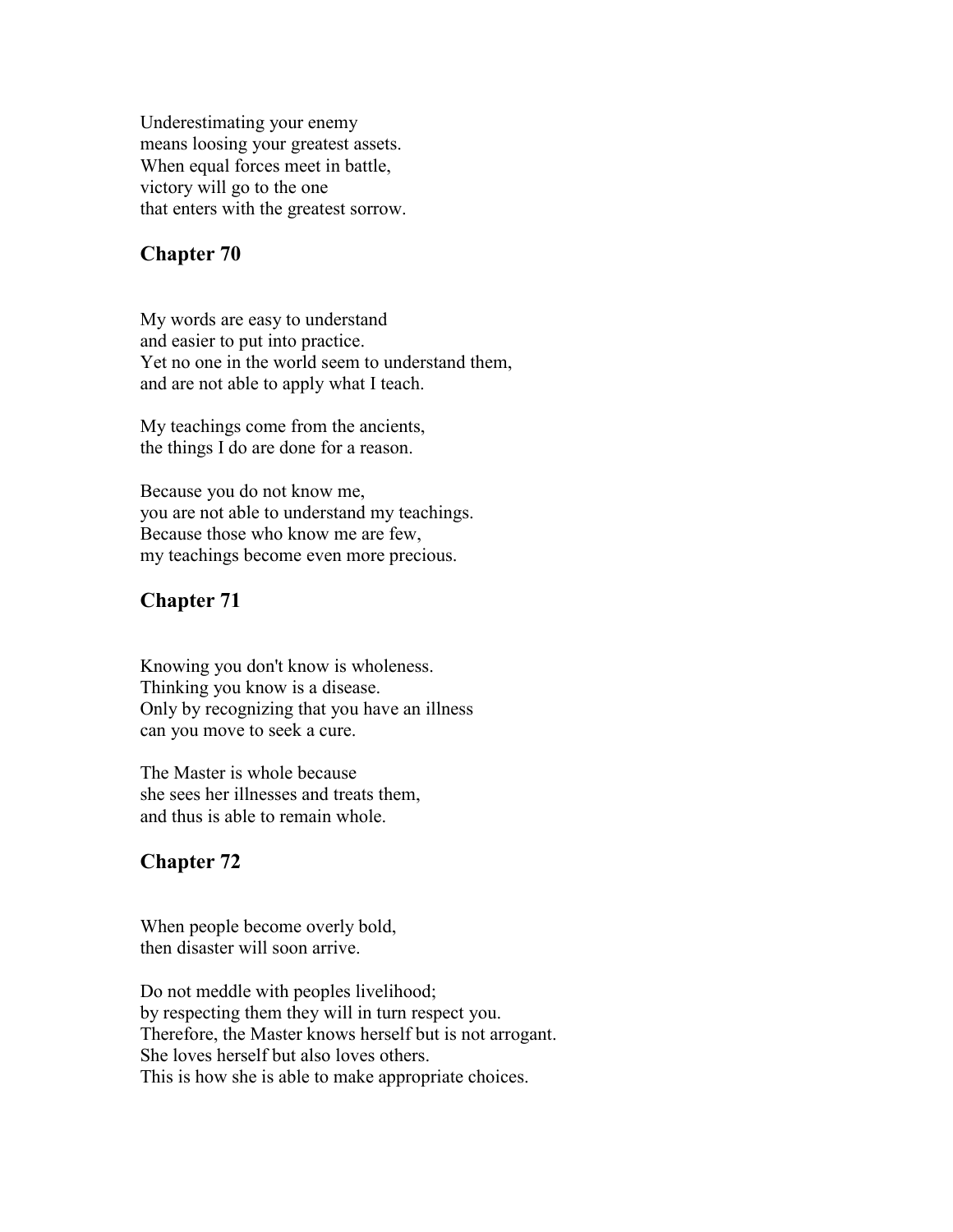Underestimating your enemy means loosing your greatest assets. When equal forces meet in battle, victory will go to the one that enters with the greatest sorrow.

#### **Chapter 70**

My words are easy to understand and easier to put into practice. Yet no one in the world seem to understand them, and are not able to apply what I teach.

My teachings come from the ancients, the things I do are done for a reason.

Because you do not know me, you are not able to understand my teachings. Because those who know me are few, my teachings become even more precious.

#### **Chapter 71**

Knowing you don't know is wholeness. Thinking you know is a disease. Only by recognizing that you have an illness can you move to seek a cure.

The Master is whole because she sees her illnesses and treats them, and thus is able to remain whole.

#### **Chapter 72**

When people become overly bold, then disaster will soon arrive.

Do not meddle with peoples livelihood; by respecting them they will in turn respect you. Therefore, the Master knows herself but is not arrogant. She loves herself but also loves others. This is how she is able to make appropriate choices.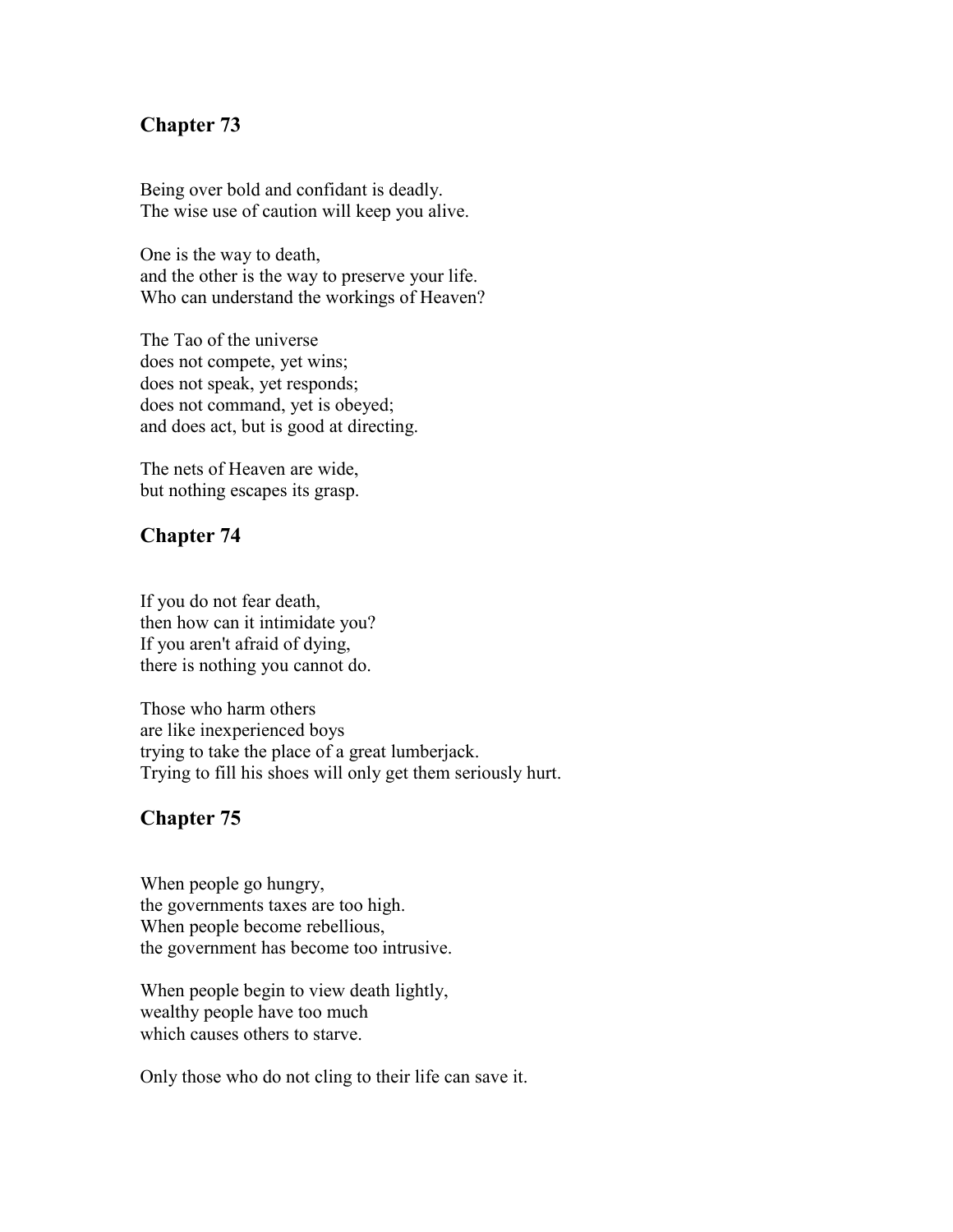#### **Chapter 73**

Being over bold and confidant is deadly. The wise use of caution will keep you alive.

One is the way to death, and the other is the way to preserve your life. Who can understand the workings of Heaven?

The Tao of the universe does not compete, yet wins; does not speak, yet responds; does not command, yet is obeyed; and does act, but is good at directing.

The nets of Heaven are wide, but nothing escapes its grasp.

#### **Chapter 74**

If you do not fear death, then how can it intimidate you? If you aren't afraid of dying, there is nothing you cannot do.

Those who harm others are like inexperienced boys trying to take the place of a great lumberjack. Trying to fill his shoes will only get them seriously hurt.

#### **Chapter 75**

When people go hungry, the governments taxes are too high. When people become rebellious, the government has become too intrusive.

When people begin to view death lightly, wealthy people have too much which causes others to starve.

Only those who do not cling to their life can save it.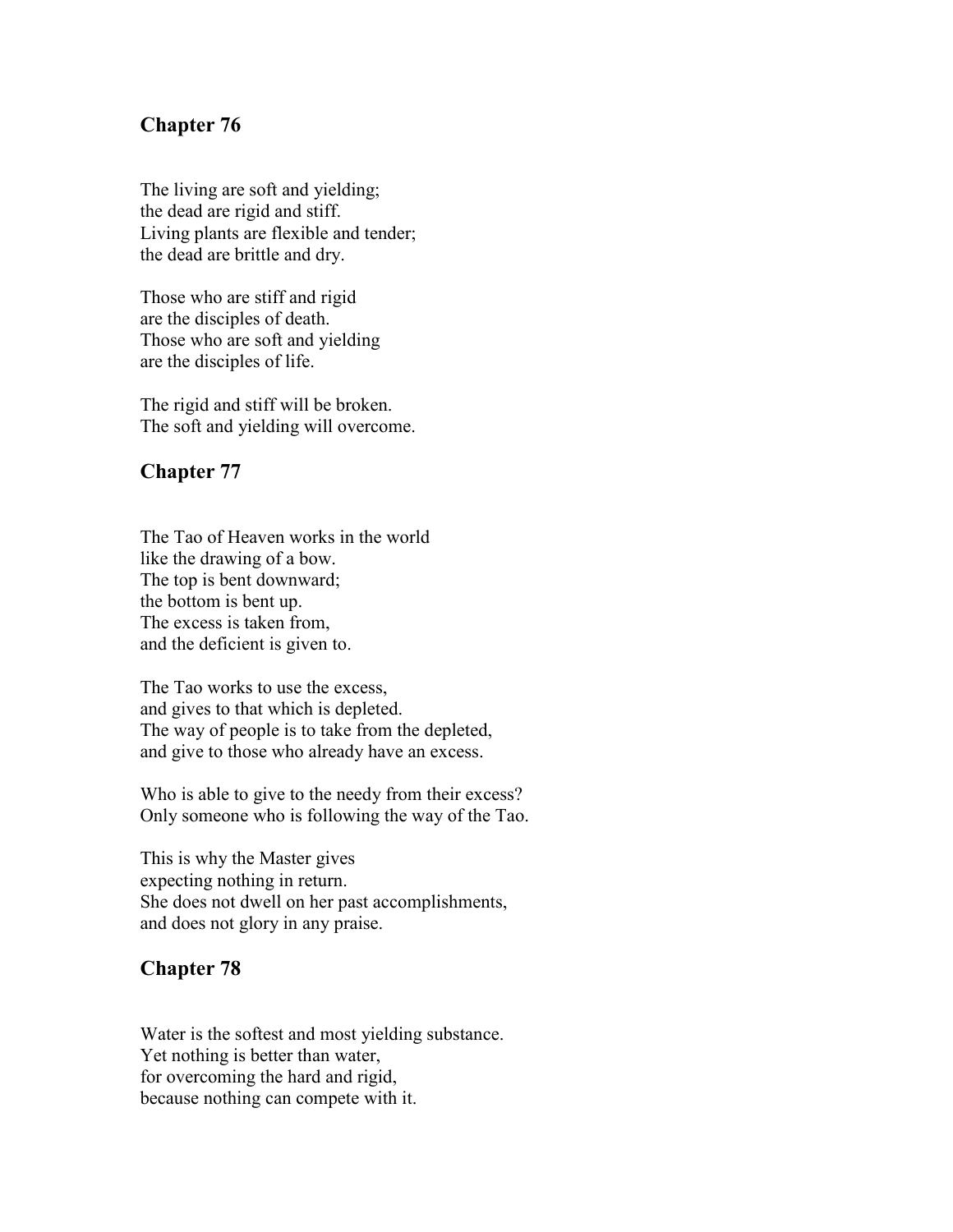#### **Chapter 76**

The living are soft and yielding; the dead are rigid and stiff. Living plants are flexible and tender; the dead are brittle and dry.

Those who are stiff and rigid are the disciples of death. Those who are soft and yielding are the disciples of life.

The rigid and stiff will be broken. The soft and yielding will overcome.

#### **Chapter 77**

The Tao of Heaven works in the world like the drawing of a bow. The top is bent downward; the bottom is bent up. The excess is taken from, and the deficient is given to.

The Tao works to use the excess, and gives to that which is depleted. The way of people is to take from the depleted, and give to those who already have an excess.

Who is able to give to the needy from their excess? Only someone who is following the way of the Tao.

This is why the Master gives expecting nothing in return. She does not dwell on her past accomplishments, and does not glory in any praise.

#### **Chapter 78**

Water is the softest and most yielding substance. Yet nothing is better than water, for overcoming the hard and rigid, because nothing can compete with it.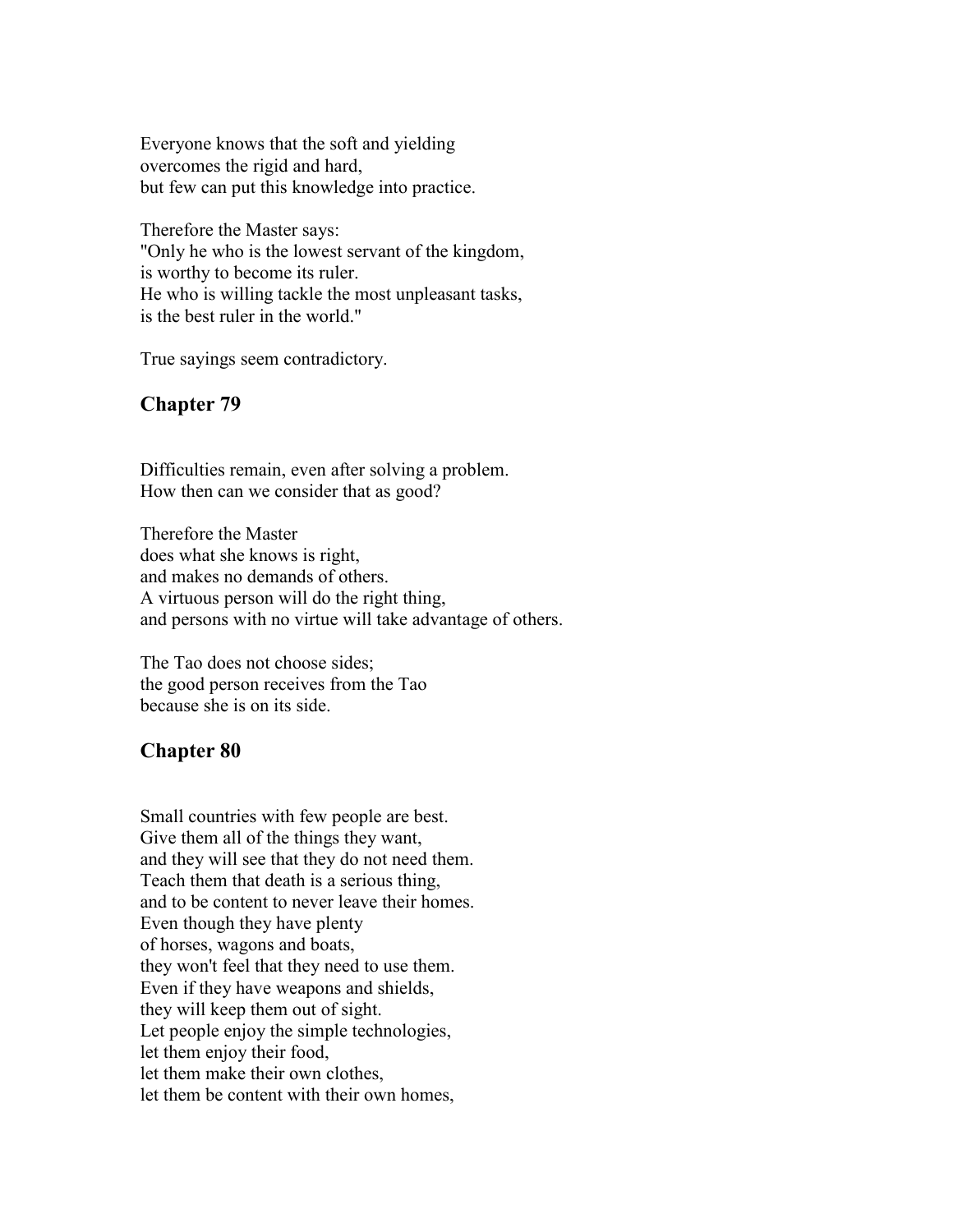Everyone knows that the soft and yielding overcomes the rigid and hard, but few can put this knowledge into practice.

Therefore the Master says: "Only he who is the lowest servant of the kingdom, is worthy to become its ruler. He who is willing tackle the most unpleasant tasks, is the best ruler in the world."

True sayings seem contradictory.

#### **Chapter 79**

Difficulties remain, even after solving a problem. How then can we consider that as good?

Therefore the Master does what she knows is right, and makes no demands of others. A virtuous person will do the right thing, and persons with no virtue will take advantage of others.

The Tao does not choose sides; the good person receives from the Tao because she is on its side.

#### **Chapter 80**

Small countries with few people are best. Give them all of the things they want, and they will see that they do not need them. Teach them that death is a serious thing, and to be content to never leave their homes. Even though they have plenty of horses, wagons and boats, they won't feel that they need to use them. Even if they have weapons and shields, they will keep them out of sight. Let people enjoy the simple technologies, let them enjoy their food, let them make their own clothes, let them be content with their own homes,